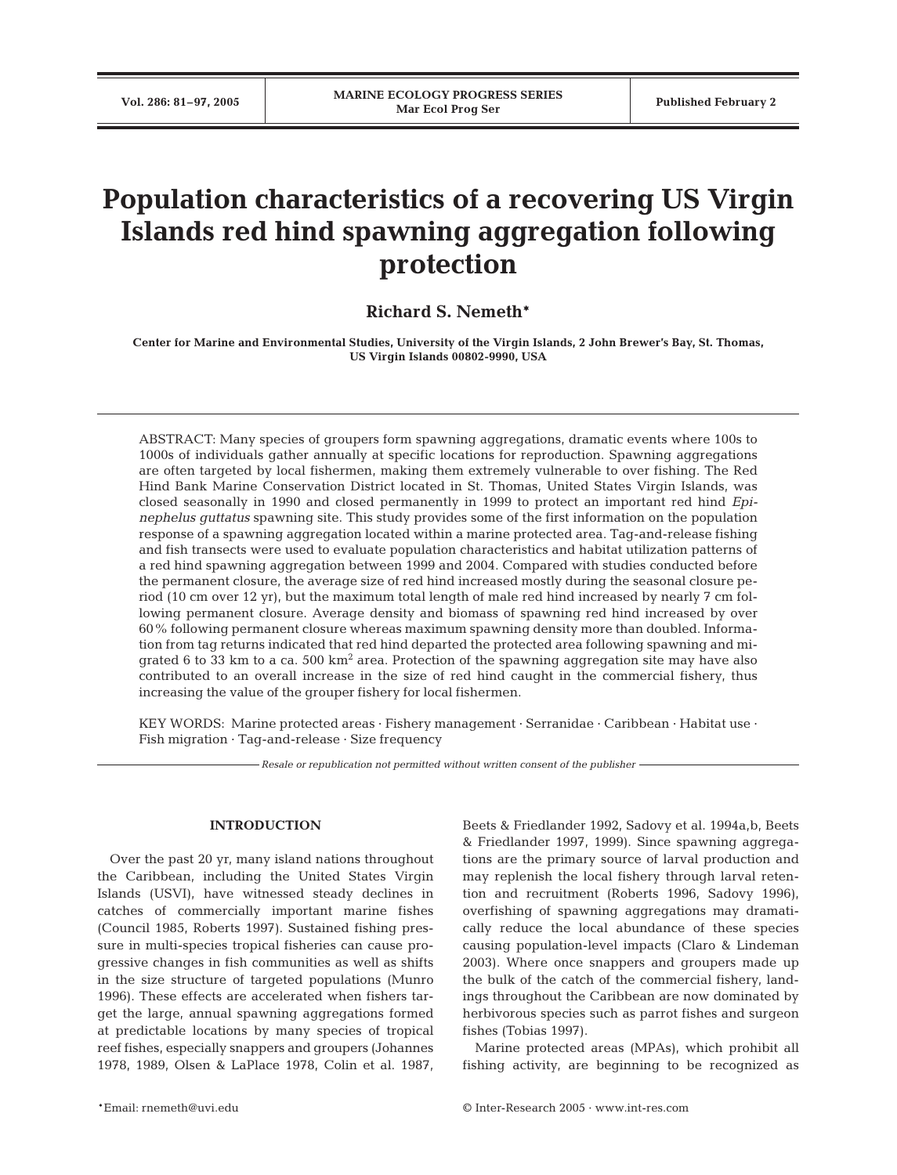# **Population characteristics of a recovering US Virgin Islands red hind spawning aggregation following protection**

## **Richard S. Nemeth\***

**Center for Marine and Environmental Studies, University of the Virgin Islands, 2 John Brewer's Bay, St. Thomas, US Virgin Islands 00802-9990, USA**

ABSTRACT: Many species of groupers form spawning aggregations, dramatic events where 100s to 1000s of individuals gather annually at specific locations for reproduction. Spawning aggregations are often targeted by local fishermen, making them extremely vulnerable to over fishing. The Red Hind Bank Marine Conservation District located in St. Thomas, United States Virgin Islands, was closed seasonally in 1990 and closed permanently in 1999 to protect an important red hind *Epinephelus guttatus* spawning site. This study provides some of the first information on the population response of a spawning aggregation located within a marine protected area. Tag-and-release fishing and fish transects were used to evaluate population characteristics and habitat utilization patterns of a red hind spawning aggregation between 1999 and 2004. Compared with studies conducted before the permanent closure, the average size of red hind increased mostly during the seasonal closure period (10 cm over 12 yr), but the maximum total length of male red hind increased by nearly 7 cm following permanent closure. Average density and biomass of spawning red hind increased by over 60% following permanent closure whereas maximum spawning density more than doubled. Information from tag returns indicated that red hind departed the protected area following spawning and migrated 6 to 33 km to a ca.  $500 \text{ km}^2$  area. Protection of the spawning aggregation site may have also contributed to an overall increase in the size of red hind caught in the commercial fishery, thus increasing the value of the grouper fishery for local fishermen.

KEY WORDS: Marine protected areas · Fishery management · Serranidae · Caribbean · Habitat use · Fish migration · Tag-and-release · Size frequency

*Resale or republication not permitted without written consent of the publisher*

## **INTRODUCTION**

Over the past 20 yr, many island nations throughout the Caribbean, including the United States Virgin Islands (USVI), have witnessed steady declines in catches of commercially important marine fishes (Council 1985, Roberts 1997). Sustained fishing pressure in multi-species tropical fisheries can cause progressive changes in fish communities as well as shifts in the size structure of targeted populations (Munro 1996). These effects are accelerated when fishers target the large, annual spawning aggregations formed at predictable locations by many species of tropical reef fishes, especially snappers and groupers (Johannes 1978, 1989, Olsen & LaPlace 1978, Colin et al. 1987,

Beets & Friedlander 1992, Sadovy et al. 1994a,b, Beets & Friedlander 1997, 1999). Since spawning aggregations are the primary source of larval production and may replenish the local fishery through larval retention and recruitment (Roberts 1996, Sadovy 1996), overfishing of spawning aggregations may dramatically reduce the local abundance of these species causing population-level impacts (Claro & Lindeman 2003). Where once snappers and groupers made up the bulk of the catch of the commercial fishery, landings throughout the Caribbean are now dominated by herbivorous species such as parrot fishes and surgeon fishes (Tobias 1997).

Marine protected areas (MPAs), which prohibit all fishing activity, are beginning to be recognized as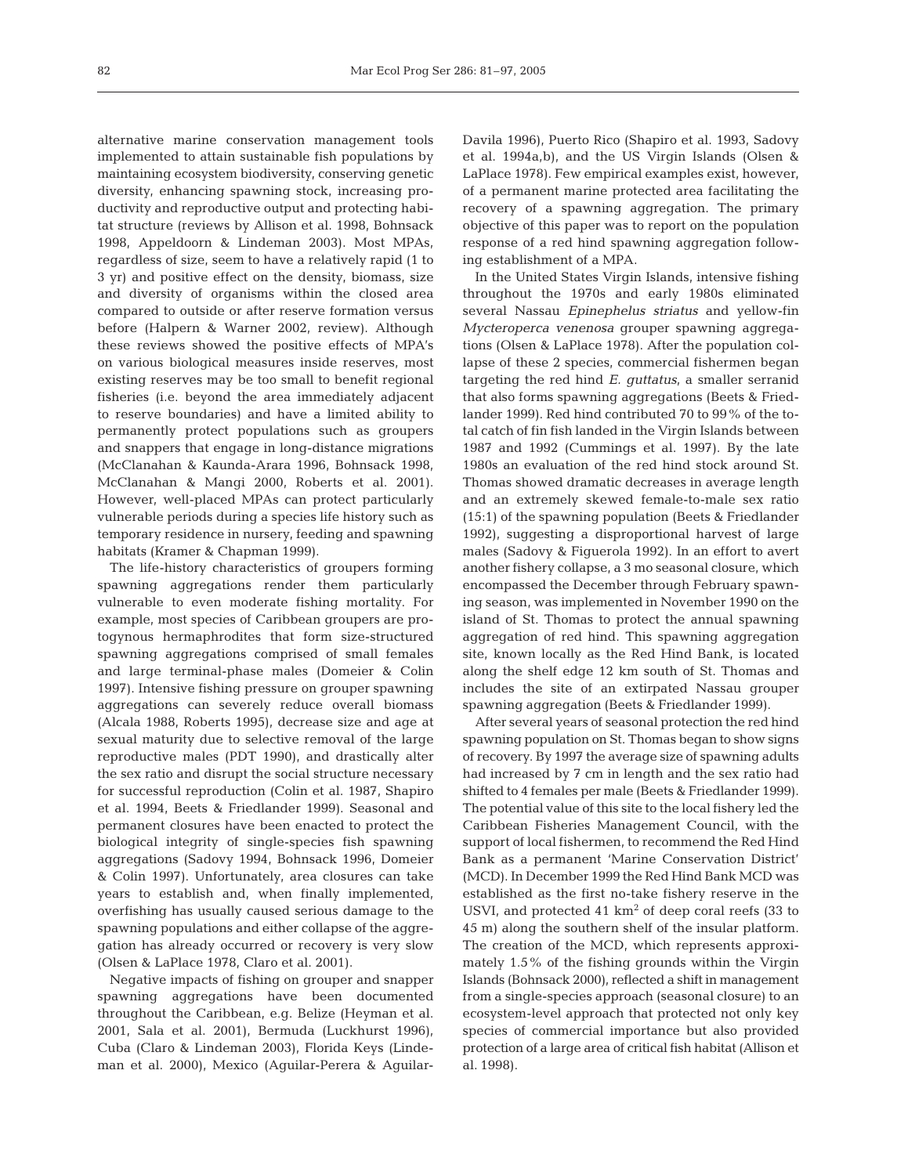alternative marine conservation management tools implemented to attain sustainable fish populations by maintaining ecosystem biodiversity, conserving genetic diversity, enhancing spawning stock, increasing productivity and reproductive output and protecting habitat structure (reviews by Allison et al. 1998, Bohnsack 1998, Appeldoorn & Lindeman 2003). Most MPAs, regardless of size, seem to have a relatively rapid (1 to 3 yr) and positive effect on the density, biomass, size and diversity of organisms within the closed area compared to outside or after reserve formation versus before (Halpern & Warner 2002, review). Although these reviews showed the positive effects of MPA's on various biological measures inside reserves, most existing reserves may be too small to benefit regional fisheries (i.e. beyond the area immediately adjacent to reserve boundaries) and have a limited ability to permanently protect populations such as groupers and snappers that engage in long-distance migrations (McClanahan & Kaunda-Arara 1996, Bohnsack 1998, McClanahan & Mangi 2000, Roberts et al. 2001). However, well-placed MPAs can protect particularly vulnerable periods during a species life history such as temporary residence in nursery, feeding and spawning habitats (Kramer & Chapman 1999).

The life-history characteristics of groupers forming spawning aggregations render them particularly vulnerable to even moderate fishing mortality. For example, most species of Caribbean groupers are protogynous hermaphrodites that form size-structured spawning aggregations comprised of small females and large terminal-phase males (Domeier & Colin 1997). Intensive fishing pressure on grouper spawning aggregations can severely reduce overall biomass (Alcala 1988, Roberts 1995), decrease size and age at sexual maturity due to selective removal of the large reproductive males (PDT 1990), and drastically alter the sex ratio and disrupt the social structure necessary for successful reproduction (Colin et al. 1987, Shapiro et al. 1994, Beets & Friedlander 1999). Seasonal and permanent closures have been enacted to protect the biological integrity of single-species fish spawning aggregations (Sadovy 1994, Bohnsack 1996, Domeier & Colin 1997). Unfortunately, area closures can take years to establish and, when finally implemented, overfishing has usually caused serious damage to the spawning populations and either collapse of the aggregation has already occurred or recovery is very slow (Olsen & LaPlace 1978, Claro et al. 2001).

Negative impacts of fishing on grouper and snapper spawning aggregations have been documented throughout the Caribbean, e.g. Belize (Heyman et al. 2001, Sala et al. 2001), Bermuda (Luckhurst 1996), Cuba (Claro & Lindeman 2003), Florida Keys (Lindeman et al. 2000), Mexico (Aguilar-Perera & Aguilar-

Davila 1996), Puerto Rico (Shapiro et al. 1993, Sadovy et al. 1994a,b), and the US Virgin Islands (Olsen & LaPlace 1978). Few empirical examples exist, however, of a permanent marine protected area facilitating the recovery of a spawning aggregation. The primary objective of this paper was to report on the population response of a red hind spawning aggregation following establishment of a MPA.

In the United States Virgin Islands, intensive fishing throughout the 1970s and early 1980s eliminated several Nassau *Epinephelus striatus* and yellow-fin *Mycteroperca venenosa* grouper spawning aggregations (Olsen & LaPlace 1978). After the population collapse of these 2 species, commercial fishermen began targeting the red hind *E. guttatus*, a smaller serranid that also forms spawning aggregations (Beets & Friedlander 1999). Red hind contributed 70 to 99% of the total catch of fin fish landed in the Virgin Islands between 1987 and 1992 (Cummings et al. 1997). By the late 1980s an evaluation of the red hind stock around St. Thomas showed dramatic decreases in average length and an extremely skewed female-to-male sex ratio (15:1) of the spawning population (Beets & Friedlander 1992), suggesting a disproportional harvest of large males (Sadovy & Figuerola 1992). In an effort to avert another fishery collapse, a 3 mo seasonal closure, which encompassed the December through February spawning season, was implemented in November 1990 on the island of St. Thomas to protect the annual spawning aggregation of red hind. This spawning aggregation site, known locally as the Red Hind Bank, is located along the shelf edge 12 km south of St. Thomas and includes the site of an extirpated Nassau grouper spawning aggregation (Beets & Friedlander 1999).

After several years of seasonal protection the red hind spawning population on St. Thomas began to show signs of recovery. By 1997 the average size of spawning adults had increased by 7 cm in length and the sex ratio had shifted to 4 females per male (Beets & Friedlander 1999). The potential value of this site to the local fishery led the Caribbean Fisheries Management Council, with the support of local fishermen, to recommend the Red Hind Bank as a permanent 'Marine Conservation District' (MCD). In December 1999 the Red Hind Bank MCD was established as the first no-take fishery reserve in the USVI, and protected  $41 \text{ km}^2$  of deep coral reefs (33 to 45 m) along the southern shelf of the insular platform. The creation of the MCD, which represents approximately 1.5% of the fishing grounds within the Virgin Islands (Bohnsack 2000), reflected a shift in management from a single-species approach (seasonal closure) to an ecosystem-level approach that protected not only key species of commercial importance but also provided protection of a large area of critical fish habitat (Allison et al. 1998).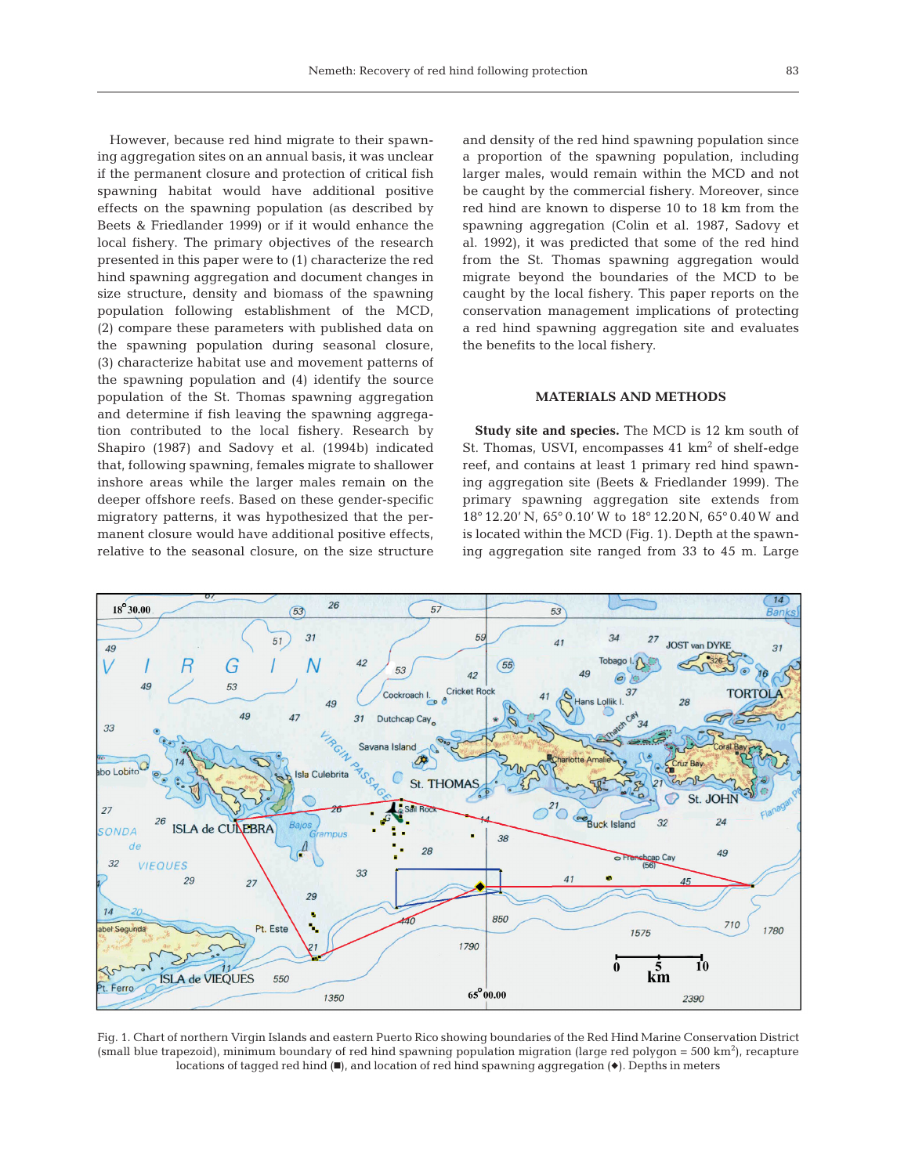However, because red hind migrate to their spawning aggregation sites on an annual basis, it was unclear if the permanent closure and protection of critical fish spawning habitat would have additional positive effects on the spawning population (as described by Beets & Friedlander 1999) or if it would enhance the local fishery. The primary objectives of the research presented in this paper were to (1) characterize the red hind spawning aggregation and document changes in size structure, density and biomass of the spawning population following establishment of the MCD, (2) compare these parameters with published data on the spawning population during seasonal closure, (3) characterize habitat use and movement patterns of the spawning population and (4) identify the source population of the St. Thomas spawning aggregation and determine if fish leaving the spawning aggregation contributed to the local fishery. Research by Shapiro (1987) and Sadovy et al. (1994b) indicated that, following spawning, females migrate to shallower inshore areas while the larger males remain on the deeper offshore reefs. Based on these gender-specific migratory patterns, it was hypothesized that the permanent closure would have additional positive effects, relative to the seasonal closure, on the size structure

and density of the red hind spawning population since a proportion of the spawning population, including larger males, would remain within the MCD and not be caught by the commercial fishery. Moreover, since red hind are known to disperse 10 to 18 km from the spawning aggregation (Colin et al. 1987, Sadovy et al. 1992), it was predicted that some of the red hind from the St. Thomas spawning aggregation would migrate beyond the boundaries of the MCD to be caught by the local fishery. This paper reports on the conservation management implications of protecting a red hind spawning aggregation site and evaluates the benefits to the local fishery.

### **MATERIALS AND METHODS**

**Study site and species.** The MCD is 12 km south of St. Thomas, USVI, encompasses 41 km<sup>2</sup> of shelf-edge reef, and contains at least 1 primary red hind spawning aggregation site (Beets & Friedlander 1999). The primary spawning aggregation site extends from 18° 12.20' N, 65° 0.10' W to 18° 12.20 N, 65° 0.40 W and is located within the MCD (Fig. 1). Depth at the spawning aggregation site ranged from 33 to 45 m. Large



Fig. 1. Chart of northern Virgin Islands and eastern Puerto Rico showing boundaries of the Red Hind Marine Conservation District  $(s$ mall blue trapezoid), minimum boundary of red hind spawning population migration (large red polygon = 500 km<sup>2</sup>), recapture locations of tagged red hind  $(\blacksquare)$ , and location of red hind spawning aggregation  $(\blacklozenge)$ . Depths in meters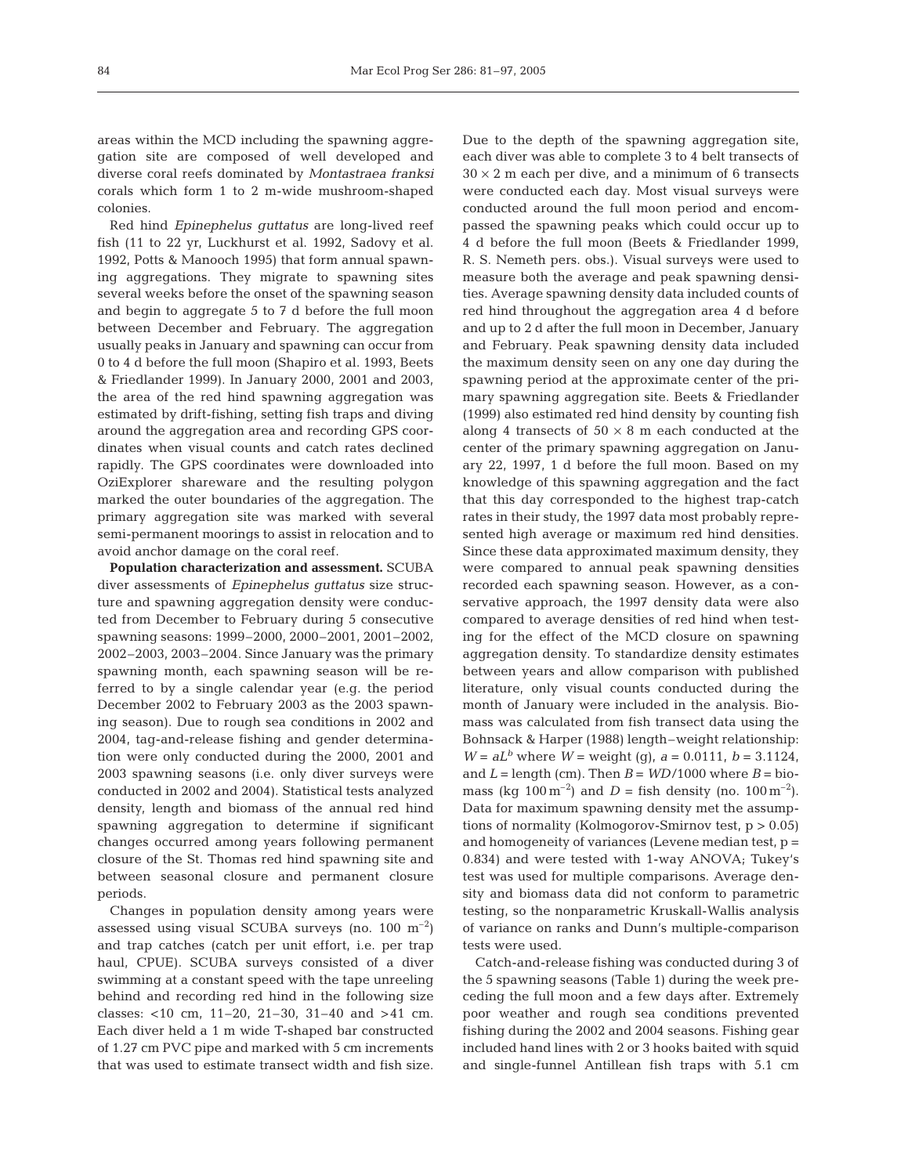areas within the MCD including the spawning aggregation site are composed of well developed and diverse coral reefs dominated by *Montastraea franksi* corals which form 1 to 2 m-wide mushroom-shaped colonies.

Red hind *Epinephelus guttatus* are long-lived reef fish (11 to 22 yr, Luckhurst et al. 1992, Sadovy et al. 1992, Potts & Manooch 1995) that form annual spawning aggregations. They migrate to spawning sites several weeks before the onset of the spawning season and begin to aggregate 5 to 7 d before the full moon between December and February. The aggregation usually peaks in January and spawning can occur from 0 to 4 d before the full moon (Shapiro et al. 1993, Beets & Friedlander 1999). In January 2000, 2001 and 2003, the area of the red hind spawning aggregation was estimated by drift-fishing, setting fish traps and diving around the aggregation area and recording GPS coordinates when visual counts and catch rates declined rapidly. The GPS coordinates were downloaded into OziExplorer shareware and the resulting polygon marked the outer boundaries of the aggregation. The primary aggregation site was marked with several semi-permanent moorings to assist in relocation and to avoid anchor damage on the coral reef.

**Population characterization and assessment.** SCUBA diver assessments of *Epinephelus guttatus* size structure and spawning aggregation density were conducted from December to February during 5 consecutive spawning seasons: 1999–2000, 2000–2001, 2001–2002, 2002–2003, 2003–2004. Since January was the primary spawning month, each spawning season will be referred to by a single calendar year (e.g. the period December 2002 to February 2003 as the 2003 spawning season). Due to rough sea conditions in 2002 and 2004, tag-and-release fishing and gender determination were only conducted during the 2000, 2001 and 2003 spawning seasons (i.e. only diver surveys were conducted in 2002 and 2004). Statistical tests analyzed density, length and biomass of the annual red hind spawning aggregation to determine if significant changes occurred among years following permanent closure of the St. Thomas red hind spawning site and between seasonal closure and permanent closure periods.

Changes in population density among years were assessed using visual SCUBA surveys (no. 100  $\mathrm{m}^{-2}$ ) and trap catches (catch per unit effort, i.e. per trap haul, CPUE). SCUBA surveys consisted of a diver swimming at a constant speed with the tape unreeling behind and recording red hind in the following size classes: <10 cm, 11–20, 21–30, 31–40 and >41 cm. Each diver held a 1 m wide T-shaped bar constructed of 1.27 cm PVC pipe and marked with 5 cm increments that was used to estimate transect width and fish size.

Due to the depth of the spawning aggregation site, each diver was able to complete 3 to 4 belt transects of  $30 \times 2$  m each per dive, and a minimum of 6 transects were conducted each day. Most visual surveys were conducted around the full moon period and encompassed the spawning peaks which could occur up to 4 d before the full moon (Beets & Friedlander 1999, R. S. Nemeth pers. obs.). Visual surveys were used to measure both the average and peak spawning densities. Average spawning density data included counts of red hind throughout the aggregation area 4 d before and up to 2 d after the full moon in December, January and February. Peak spawning density data included the maximum density seen on any one day during the spawning period at the approximate center of the primary spawning aggregation site. Beets & Friedlander (1999) also estimated red hind density by counting fish along 4 transects of  $50 \times 8$  m each conducted at the center of the primary spawning aggregation on January 22, 1997, 1 d before the full moon. Based on my knowledge of this spawning aggregation and the fact that this day corresponded to the highest trap-catch rates in their study, the 1997 data most probably represented high average or maximum red hind densities. Since these data approximated maximum density, they were compared to annual peak spawning densities recorded each spawning season. However, as a conservative approach, the 1997 density data were also compared to average densities of red hind when testing for the effect of the MCD closure on spawning aggregation density. To standardize density estimates between years and allow comparison with published literature, only visual counts conducted during the month of January were included in the analysis. Biomass was calculated from fish transect data using the Bohnsack & Harper (1988) length–weight relationship: *W* =  $aL^b$  where *W* = weight (g),  $a = 0.0111$ ,  $b = 3.1124$ , and  $L =$  length (cm). Then  $B = WD/1000$  where  $B =$  biomass (kg  $100 \,\text{m}^{-2}$ ) and *D* = fish density (no.  $100 \,\text{m}^{-2}$ ). Data for maximum spawning density met the assumptions of normality (Kolmogorov-Smirnov test, p > 0.05) and homogeneity of variances (Levene median test, p = 0.834) and were tested with 1-way ANOVA; Tukey's test was used for multiple comparisons. Average density and biomass data did not conform to parametric testing, so the nonparametric Kruskall-Wallis analysis of variance on ranks and Dunn's multiple-comparison tests were used.

Catch-and-release fishing was conducted during 3 of the 5 spawning seasons (Table 1) during the week preceding the full moon and a few days after. Extremely poor weather and rough sea conditions prevented fishing during the 2002 and 2004 seasons. Fishing gear included hand lines with 2 or 3 hooks baited with squid and single-funnel Antillean fish traps with 5.1 cm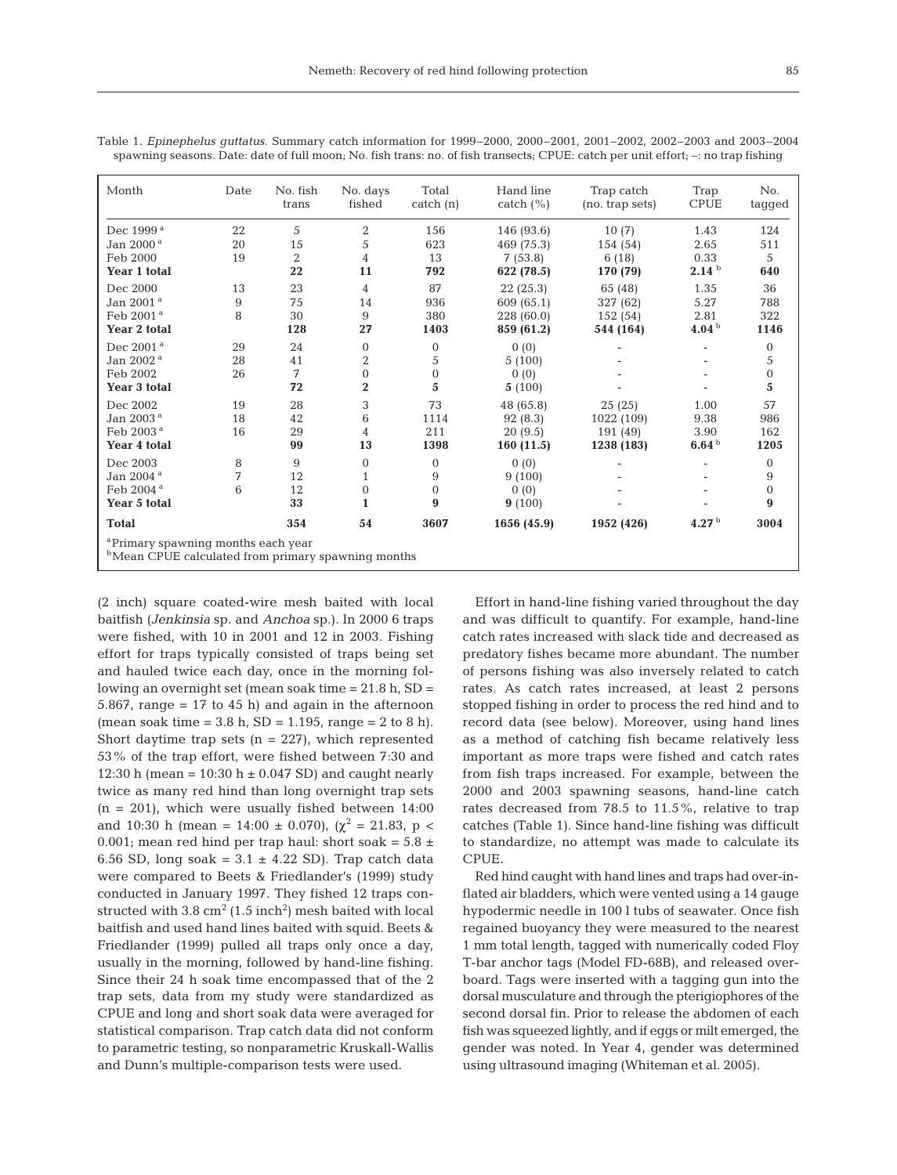| abic 1. Liphicphchas gamanas, building y cutch mioriniquon for 1999–2000, 2000, 2001, 2001–2002, 2002–2000 und<br>spawning seasons. Date: date of full moon; No. fish trans: no. of fish transects; CPUE: catch per unit effort; $-$ : no trap fishing |      |                   |                    |                    |                            |                               |                     |               |  |  |  |
|--------------------------------------------------------------------------------------------------------------------------------------------------------------------------------------------------------------------------------------------------------|------|-------------------|--------------------|--------------------|----------------------------|-------------------------------|---------------------|---------------|--|--|--|
| Month                                                                                                                                                                                                                                                  | Date | No. fish<br>trans | No. days<br>fished | Total<br>catch (n) | Hand line<br>catch $(\% )$ | Trap catch<br>(no. trap sets) | Trap<br><b>CPUE</b> | No.<br>tagged |  |  |  |
| Dec 1999ª                                                                                                                                                                                                                                              | 22   | 5                 | 2                  | 156                | 146 (93.6)                 | 10(7)                         | 1.43                | 124           |  |  |  |
| Jan 2000 <sup>a</sup>                                                                                                                                                                                                                                  | 20   | 15                | 5                  | 623                | 469 (75.3)                 | 154 (54)                      | 2.65                | 511           |  |  |  |
| Feb 2000                                                                                                                                                                                                                                               | 19   | 2                 | 4                  | 13                 | 7(53.8)                    | 6(18)                         | 0.33                | 5             |  |  |  |
| Year 1 total                                                                                                                                                                                                                                           |      | 22                | 11                 | 792                | 622 (78.5)                 | 170 (79)                      | 2.14 <sup>b</sup>   | 640           |  |  |  |
| Dec 2000                                                                                                                                                                                                                                               | 13   | 23                | 4                  | 87                 | 22(25.3)                   | 65 (48)                       | 1.35                | 36            |  |  |  |
| Jan 2001 <sup>a</sup>                                                                                                                                                                                                                                  | 9    | 75                | 14                 | 936                | 609 (65.1)                 | 327 (62)                      | 5.27                | 788           |  |  |  |
| Feb 2001 ª                                                                                                                                                                                                                                             | 8    | 30                | 9                  | 380                | 228(60.0)                  | 152 (54)                      | 2.81                | 322           |  |  |  |
| Year 2 total                                                                                                                                                                                                                                           |      | 128               | 27                 | 1403               | 859 (61.2)                 | 544 (164)                     | 4.04 <sup>b</sup>   | 1146          |  |  |  |
| Dec 2001 <sup>a</sup>                                                                                                                                                                                                                                  | 29   | 24                | $\Omega$           | $\Omega$           | 0(0)                       |                               |                     | $\Omega$      |  |  |  |
| Jan 2002 <sup>a</sup>                                                                                                                                                                                                                                  | 28   | 41                | 2                  | 5                  | 5(100)                     |                               |                     | 5             |  |  |  |
| Feb 2002                                                                                                                                                                                                                                               | 26   | 7                 |                    | $\Omega$           | 0(0)                       |                               |                     | $\mathbf{0}$  |  |  |  |
| Year 3 total                                                                                                                                                                                                                                           |      | 72                | 2                  | 5                  | 5(100)                     |                               |                     | 5             |  |  |  |
| Dec 2002                                                                                                                                                                                                                                               | 19   | 28                | 3                  | 73                 | 48 (65.8)                  | 25(25)                        | 1.00                | 57            |  |  |  |
| Jan 2003 <sup>a</sup>                                                                                                                                                                                                                                  | 18   | 42                | 6                  | 1114               | 92(8.3)                    | 1022 (109)                    | 9.38                | 986           |  |  |  |

Table 1. *Epinephelus guttatus*. Summary catch information for 1999–2000, 2000–2001, 2001–2002, 2002–2003 and 2003–2004

Feb 2003<sup>a</sup> 16 29 4 211 20 (9.5) 191 (49) 3.90 162 **Year 4 total 99 13 1398 160 (11.5) 1238 (183) 6.64** <sup>b</sup> **1205** Dec 2003 8 9 0 0 0 0 00 - - - 0  $J$ an 2004<sup>a</sup> 7 12 1 9 9 (100) - - 9 Feb 2004<sup>a</sup> 6 12 0 0 0 0 0 0 - - 0 **Year 5 total 33 1 9 9** (100) - - **9 Total 354 54 3607 1656 (45.9) 1952 (426) 4.27** <sup>b</sup> **3004**

<sup>a</sup>Primary spawning months each year

**b**Mean CPUE calculated from primary spawning months

(2 inch) square coated-wire mesh baited with local baitfish (*Jenkinsia* sp. and *Anchoa* sp.). In 2000 6 traps were fished, with 10 in 2001 and 12 in 2003. Fishing effort for traps typically consisted of traps being set and hauled twice each day, once in the morning following an overnight set (mean soak time  $= 21.8$  h, SD  $=$ 5.867, range =  $17$  to  $45$  h) and again in the afternoon (mean soak time =  $3.8 \text{ h}$ , SD =  $1.195$ , range =  $2 \text{ to } 8 \text{ h}$ ). Short daytime trap sets  $(n = 227)$ , which represented 53% of the trap effort, were fished between 7:30 and 12:30 h (mean =  $10:30$  h  $\pm$  0.047 SD) and caught nearly twice as many red hind than long overnight trap sets  $(n = 201)$ , which were usually fished between 14:00 and 10:30 h (mean = 14:00  $\pm$  0.070), ( $\chi^2$  = 21.83, p < 0.001; mean red hind per trap haul: short soak =  $5.8 \pm 1.0$ 6.56 SD, long soak =  $3.1 \pm 4.22$  SD). Trap catch data were compared to Beets & Friedlander's (1999) study conducted in January 1997. They fished 12 traps constructed with  $3.8 \text{ cm}^2 (1.5 \text{ inch}^2)$  mesh baited with local baitfish and used hand lines baited with squid. Beets & Friedlander (1999) pulled all traps only once a day, usually in the morning, followed by hand-line fishing. Since their 24 h soak time encompassed that of the 2 trap sets, data from my study were standardized as CPUE and long and short soak data were averaged for statistical comparison. Trap catch data did not conform to parametric testing, so nonparametric Kruskall-Wallis and Dunn's multiple-comparison tests were used.

Effort in hand-line fishing varied throughout the day and was difficult to quantify. For example, hand-line catch rates increased with slack tide and decreased as predatory fishes became more abundant. The number of persons fishing was also inversely related to catch rates. As catch rates increased, at least 2 persons stopped fishing in order to process the red hind and to record data (see below). Moreover, using hand lines as a method of catching fish became relatively less important as more traps were fished and catch rates from fish traps increased. For example, between the 2000 and 2003 spawning seasons, hand-line catch rates decreased from 78.5 to 11.5%, relative to trap catches (Table 1). Since hand-line fishing was difficult to standardize, no attempt was made to calculate its CPUE.

Red hind caught with hand lines and traps had over-inflated air bladders, which were vented using a 14 gauge hypodermic needle in 100 l tubs of seawater. Once fish regained buoyancy they were measured to the nearest 1 mm total length, tagged with numerically coded Floy T-bar anchor tags (Model FD-68B), and released overboard. Tags were inserted with a tagging gun into the dorsal musculature and through the pterigiophores of the second dorsal fin. Prior to release the abdomen of each fish was squeezed lightly, and if eggs or milt emerged, the gender was noted. In Year 4, gender was determined using ultrasound imaging (Whiteman et al. 2005).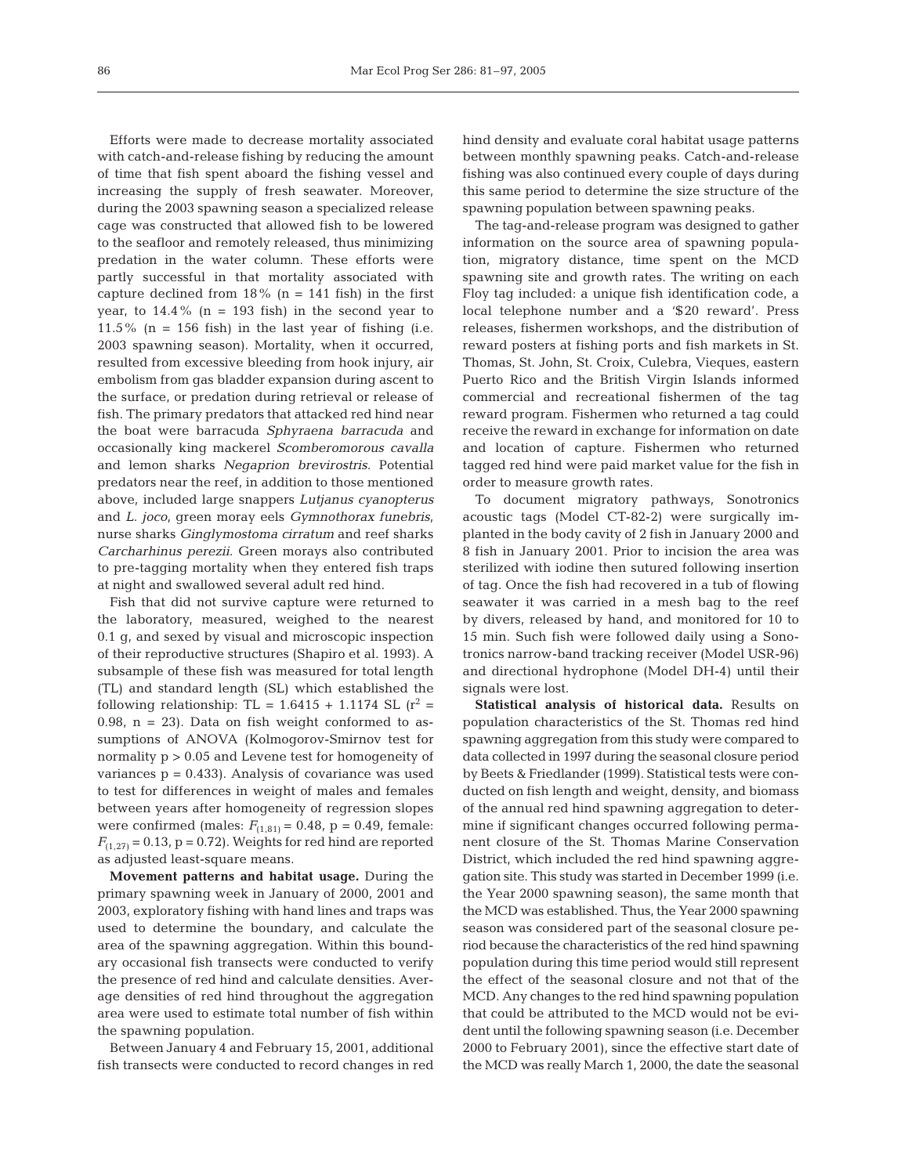Efforts were made to decrease mortality associated with catch-and-release fishing by reducing the amount of time that fish spent aboard the fishing vessel and increasing the supply of fresh seawater. Moreover, during the 2003 spawning season a specialized release cage was constructed that allowed fish to be lowered to the seafloor and remotely released, thus minimizing predation in the water column. These efforts were partly successful in that mortality associated with capture declined from  $18\%$  (n = 141 fish) in the first year, to  $14.4\%$  (n = 193 fish) in the second year to 11.5% ( $n = 156$  fish) in the last year of fishing (i.e. 2003 spawning season). Mortality, when it occurred, resulted from excessive bleeding from hook injury, air embolism from gas bladder expansion during ascent to the surface, or predation during retrieval or release of fish. The primary predators that attacked red hind near the boat were barracuda *Sphyraena barracuda* and occasionally king mackerel *Scomberomorous cavalla* and lemon sharks *Negaprion brevirostris*. Potential predators near the reef, in addition to those mentioned above, included large snappers *Lutjanus cyanopterus* and *L. joco*, green moray eels *Gymnothorax funebris*, nurse sharks *Ginglymostoma cirratum* and reef sharks *Carcharhinus perezii*. Green morays also contributed to pre-tagging mortality when they entered fish traps at night and swallowed several adult red hind.

Fish that did not survive capture were returned to the laboratory, measured, weighed to the nearest 0.1 g, and sexed by visual and microscopic inspection of their reproductive structures (Shapiro et al. 1993). A subsample of these fish was measured for total length (TL) and standard length (SL) which established the following relationship:  $TL = 1.6415 + 1.1174$  SL  $(r^2 =$ 0.98,  $n = 23$ ). Data on fish weight conformed to assumptions of ANOVA (Kolmogorov-Smirnov test for normality p > 0.05 and Levene test for homogeneity of variances  $p = 0.433$ . Analysis of covariance was used to test for differences in weight of males and females between years after homogeneity of regression slopes were confirmed (males:  $F_{(1,81)} = 0.48$ , p = 0.49, female:  $F_{(1,27)} = 0.13$ ,  $p = 0.72$ ). Weights for red hind are reported as adjusted least-square means.

**Movement patterns and habitat usage.** During the primary spawning week in January of 2000, 2001 and 2003, exploratory fishing with hand lines and traps was used to determine the boundary, and calculate the area of the spawning aggregation. Within this boundary occasional fish transects were conducted to verify the presence of red hind and calculate densities. Average densities of red hind throughout the aggregation area were used to estimate total number of fish within the spawning population.

Between January 4 and February 15, 2001, additional fish transects were conducted to record changes in red

hind density and evaluate coral habitat usage patterns between monthly spawning peaks. Catch-and-release fishing was also continued every couple of days during this same period to determine the size structure of the spawning population between spawning peaks.

The tag-and-release program was designed to gather information on the source area of spawning population, migratory distance, time spent on the MCD spawning site and growth rates. The writing on each Floy tag included: a unique fish identification code, a local telephone number and a '\$20 reward'. Press releases, fishermen workshops, and the distribution of reward posters at fishing ports and fish markets in St. Thomas, St. John, St. Croix, Culebra, Vieques, eastern Puerto Rico and the British Virgin Islands informed commercial and recreational fishermen of the tag reward program. Fishermen who returned a tag could receive the reward in exchange for information on date and location of capture. Fishermen who returned tagged red hind were paid market value for the fish in order to measure growth rates.

To document migratory pathways, Sonotronics acoustic tags (Model CT-82-2) were surgically implanted in the body cavity of 2 fish in January 2000 and 8 fish in January 2001. Prior to incision the area was sterilized with iodine then sutured following insertion of tag. Once the fish had recovered in a tub of flowing seawater it was carried in a mesh bag to the reef by divers, released by hand, and monitored for 10 to 15 min. Such fish were followed daily using a Sonotronics narrow-band tracking receiver (Model USR-96) and directional hydrophone (Model DH-4) until their signals were lost.

**Statistical analysis of historical data.** Results on population characteristics of the St. Thomas red hind spawning aggregation from this study were compared to data collected in 1997 during the seasonal closure period by Beets & Friedlander (1999). Statistical tests were conducted on fish length and weight, density, and biomass of the annual red hind spawning aggregation to determine if significant changes occurred following permanent closure of the St. Thomas Marine Conservation District, which included the red hind spawning aggregation site. This study was started in December 1999 (i.e. the Year 2000 spawning season), the same month that the MCD was established. Thus, the Year 2000 spawning season was considered part of the seasonal closure period because the characteristics of the red hind spawning population during this time period would still represent the effect of the seasonal closure and not that of the MCD. Any changes to the red hind spawning population that could be attributed to the MCD would not be evident until the following spawning season (i.e. December 2000 to February 2001), since the effective start date of the MCD was really March 1, 2000, the date the seasonal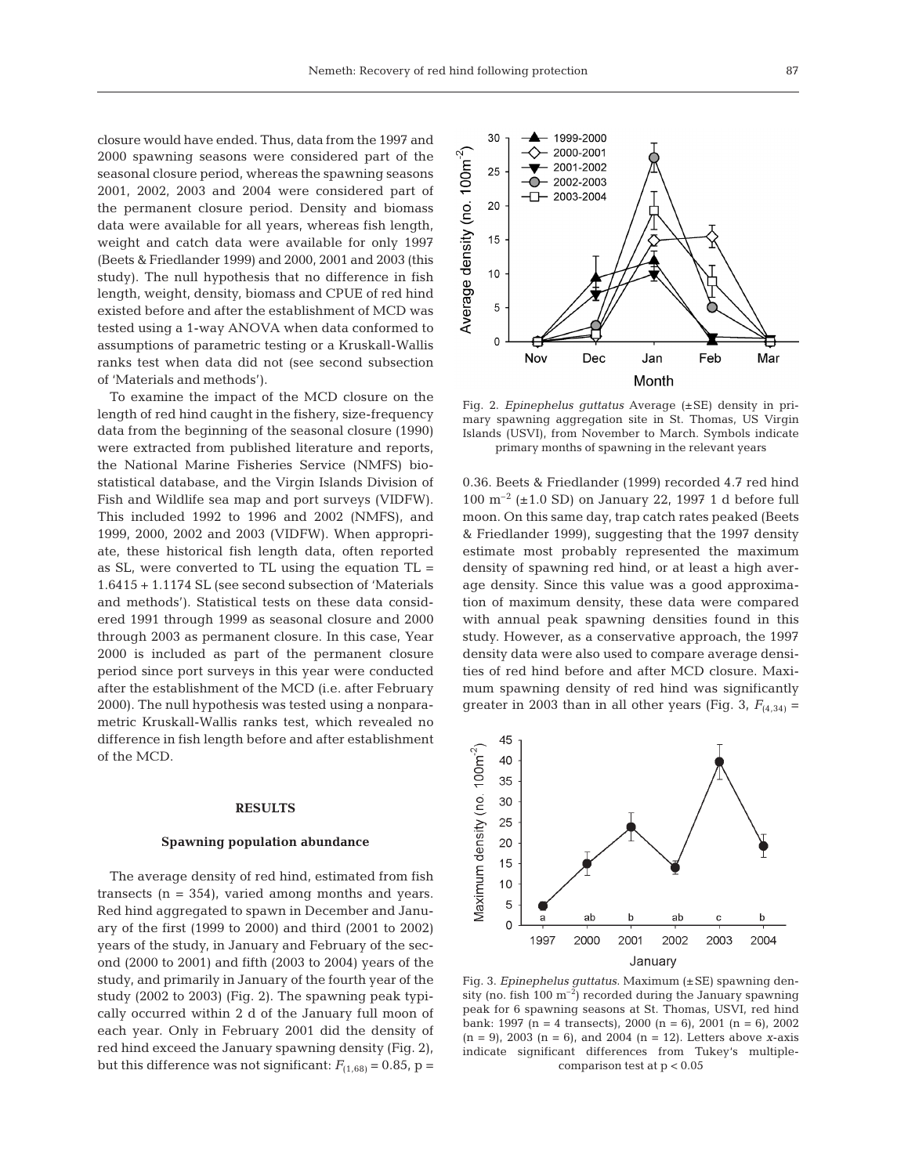closure would have ended. Thus, data from the 1997 and 2000 spawning seasons were considered part of the seasonal closure period, whereas the spawning seasons 2001, 2002, 2003 and 2004 were considered part of the permanent closure period. Density and biomass data were available for all years, whereas fish length, weight and catch data were available for only 1997 (Beets & Friedlander 1999) and 2000, 2001 and 2003 (this study). The null hypothesis that no difference in fish length, weight, density, biomass and CPUE of red hind existed before and after the establishment of MCD was tested using a 1-way ANOVA when data conformed to assumptions of parametric testing or a Kruskall-Wallis ranks test when data did not (see second subsection of 'Materials and methods').

To examine the impact of the MCD closure on the length of red hind caught in the fishery, size-frequency data from the beginning of the seasonal closure (1990) were extracted from published literature and reports, the National Marine Fisheries Service (NMFS) biostatistical database, and the Virgin Islands Division of Fish and Wildlife sea map and port surveys (VIDFW). This included 1992 to 1996 and 2002 (NMFS), and 1999, 2000, 2002 and 2003 (VIDFW). When appropriate, these historical fish length data, often reported as SL, were converted to TL using the equation  $TL =$ 1.6415 + 1.1174 SL (see second subsection of 'Materials and methods'). Statistical tests on these data considered 1991 through 1999 as seasonal closure and 2000 through 2003 as permanent closure. In this case, Year 2000 is included as part of the permanent closure period since port surveys in this year were conducted after the establishment of the MCD (i.e. after February 2000). The null hypothesis was tested using a nonparametric Kruskall-Wallis ranks test, which revealed no difference in fish length before and after establishment of the MCD.

#### **RESULTS**

#### **Spawning population abundance**

The average density of red hind, estimated from fish transects (n = 354), varied among months and years. Red hind aggregated to spawn in December and January of the first (1999 to 2000) and third (2001 to 2002) years of the study, in January and February of the second (2000 to 2001) and fifth (2003 to 2004) years of the study, and primarily in January of the fourth year of the study (2002 to 2003) (Fig. 2). The spawning peak typically occurred within 2 d of the January full moon of each year. Only in February 2001 did the density of red hind exceed the January spawning density (Fig. 2), but this difference was not significant:  $F_{(1,68)} = 0.85$ , p =



Fig. 2. *Epinephelus guttatus* Average (±SE) density in primary spawning aggregation site in St. Thomas, US Virgin Islands (USVI), from November to March. Symbols indicate primary months of spawning in the relevant years

0.36. Beets & Friedlander (1999) recorded 4.7 red hind 100  $\text{m}^{-2}$  ( $\pm$ 1.0 SD) on January 22, 1997 1 d before full moon. On this same day, trap catch rates peaked (Beets & Friedlander 1999), suggesting that the 1997 density estimate most probably represented the maximum density of spawning red hind, or at least a high average density. Since this value was a good approximation of maximum density, these data were compared with annual peak spawning densities found in this study. However, as a conservative approach, the 1997 density data were also used to compare average densities of red hind before and after MCD closure. Maximum spawning density of red hind was significantly greater in 2003 than in all other years (Fig. 3,  $F_{(4,34)} =$ 



Fig. 3. *Epinephelus guttatus*. Maximum (±SE) spawning density (no. fish  $100 \text{ m}^{-2}$ ) recorded during the January spawning peak for 6 spawning seasons at St. Thomas, USVI, red hind bank: 1997 (n = 4 transects), 2000 (n = 6), 2001 (n = 6), 2002 (n = 9), 2003 (n = 6), and 2004 (n = 12). Letters above *x*-axis indicate significant differences from Tukey's multiplecomparison test at p < 0.05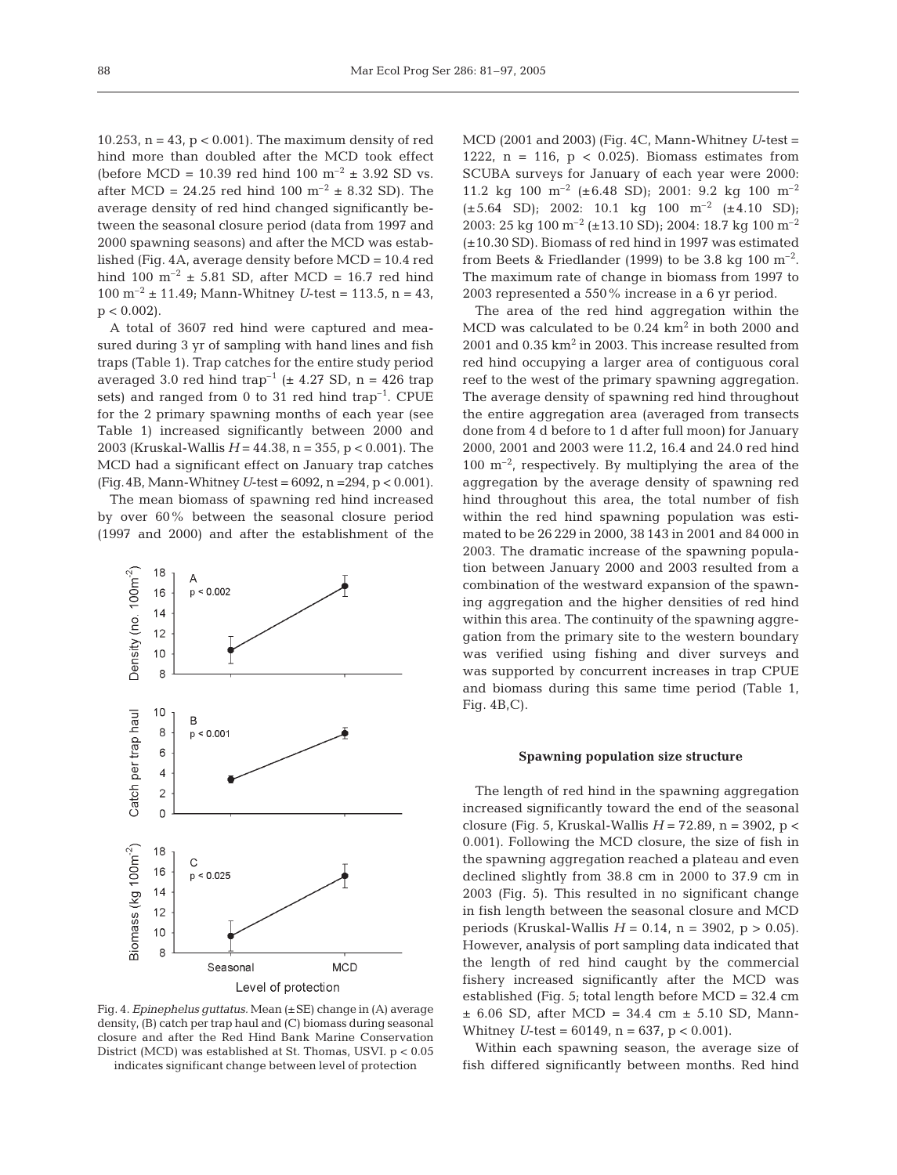10.253,  $n = 43$ ,  $p < 0.001$ ). The maximum density of red hind more than doubled after the MCD took effect (before MCD = 10.39 red hind 100  $m^{-2}$  ± 3.92 SD vs. after MCD = 24.25 red hind 100  $m^{-2}$  ± 8.32 SD). The average density of red hind changed significantly between the seasonal closure period (data from 1997 and 2000 spawning seasons) and after the MCD was established (Fig. 4A, average density before MCD = 10.4 red hind 100  $m^{-2}$  ± 5.81 SD, after MCD = 16.7 red hind 100 m<sup>-2</sup>  $\pm$  11.49; Mann-Whitney *U*-test = 113.5, n = 43,  $p < 0.002$ ).

A total of 3607 red hind were captured and measured during 3 yr of sampling with hand lines and fish traps (Table 1). Trap catches for the entire study period averaged 3.0 red hind trap<sup>-1</sup> ( $\pm$  4.27 SD, n = 426 trap sets) and ranged from 0 to 31 red hind trap<sup>-1</sup>. CPUE for the 2 primary spawning months of each year (see Table 1) increased significantly between 2000 and 2003 (Kruskal-Wallis *H* = 44.38, n = 355, p < 0.001). The MCD had a significant effect on January trap catches (Fig.4B, Mann-Whitney*U*-test = 6092, n =294, p < 0.001).

The mean biomass of spawning red hind increased by over 60% between the seasonal closure period (1997 and 2000) and after the establishment of the



Fig. 4. *Epinephelus guttatus.* Mean (±SE) change in (A) average density, (B) catch per trap haul and (C) biomass during seasonal closure and after the Red Hind Bank Marine Conservation District (MCD) was established at St. Thomas, USVI. p < 0.05 indicates significant change between level of protection

MCD (2001 and 2003) (Fig. 4C, Mann-Whitney *U*-test = 1222,  $n = 116$ ,  $p < 0.025$ ). Biomass estimates from SCUBA surveys for January of each year were 2000: 11.2 kg 100  $\text{m}^{-2}$  (±6.48 SD); 2001: 9.2 kg 100  $\text{m}^{-2}$  $(\pm 5.64$  SD); 2002: 10.1 kg 100 m<sup>-2</sup>  $(\pm 4.10$  SD); 2003: 25 kg 100 m<sup>-2</sup> (±13.10 SD); 2004: 18.7 kg 100 m<sup>-2</sup> (±10.30 SD). Biomass of red hind in 1997 was estimated from Beets & Friedlander (1999) to be 3.8 kg 100  $\mathrm{m}^{-2}$ . The maximum rate of change in biomass from 1997 to 2003 represented a 550% increase in a 6 yr period.

The area of the red hind aggregation within the MCD was calculated to be  $0.24 \text{ km}^2$  in both 2000 and 2001 and  $0.35 \text{ km}^2$  in 2003. This increase resulted from red hind occupying a larger area of contiguous coral reef to the west of the primary spawning aggregation. The average density of spawning red hind throughout the entire aggregation area (averaged from transects done from 4 d before to 1 d after full moon) for January 2000, 2001 and 2003 were 11.2, 16.4 and 24.0 red hind  $100 \text{ m}^{-2}$ , respectively. By multiplying the area of the aggregation by the average density of spawning red hind throughout this area, the total number of fish within the red hind spawning population was estimated to be 26 229 in 2000, 38 143 in 2001 and 84 000 in 2003. The dramatic increase of the spawning population between January 2000 and 2003 resulted from a combination of the westward expansion of the spawning aggregation and the higher densities of red hind within this area. The continuity of the spawning aggregation from the primary site to the western boundary was verified using fishing and diver surveys and was supported by concurrent increases in trap CPUE and biomass during this same time period (Table 1, Fig. 4B,C).

#### **Spawning population size structure**

The length of red hind in the spawning aggregation increased significantly toward the end of the seasonal closure (Fig. 5, Kruskal-Wallis *H* = 72.89, n = 3902, p < 0.001). Following the MCD closure, the size of fish in the spawning aggregation reached a plateau and even declined slightly from 38.8 cm in 2000 to 37.9 cm in 2003 (Fig. 5). This resulted in no significant change in fish length between the seasonal closure and MCD periods (Kruskal-Wallis  $H = 0.14$ ,  $n = 3902$ ,  $p > 0.05$ ). However, analysis of port sampling data indicated that the length of red hind caught by the commercial fishery increased significantly after the MCD was established (Fig. 5; total length before MCD = 32.4 cm  $\pm$  6.06 SD, after MCD = 34.4 cm  $\pm$  5.10 SD, Mann-Whitney *U*-test = 60149, n = 637, p < 0.001).

Within each spawning season, the average size of fish differed significantly between months. Red hind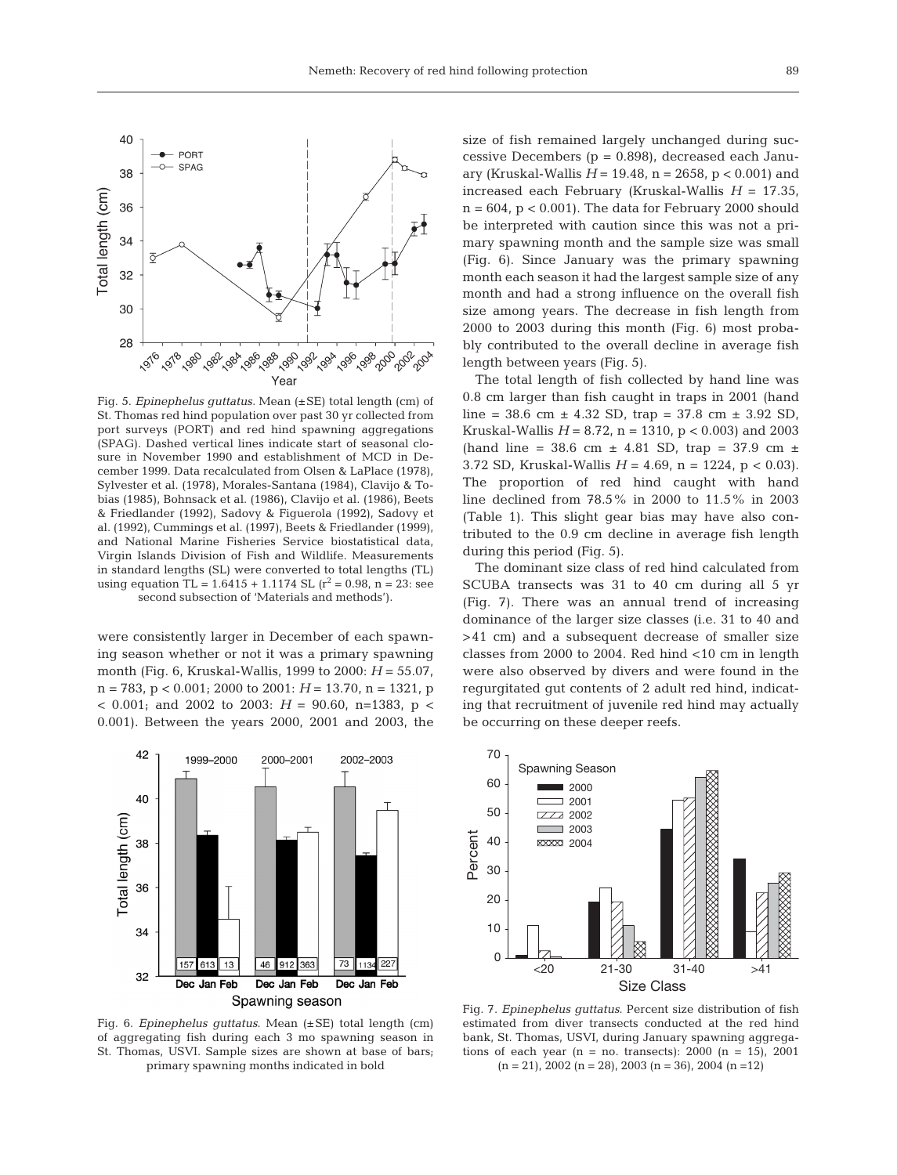

Fig. 5. *Epinephelus guttatus.* Mean (±SE) total length (cm) of St. Thomas red hind population over past 30 yr collected from port surveys (PORT) and red hind spawning aggregations (SPAG). Dashed vertical lines indicate start of seasonal closure in November 1990 and establishment of MCD in December 1999. Data recalculated from Olsen & LaPlace (1978), Sylvester et al. (1978), Morales-Santana (1984), Clavijo & Tobias (1985), Bohnsack et al. (1986), Clavijo et al. (1986), Beets & Friedlander (1992), Sadovy & Figuerola (1992), Sadovy et al. (1992), Cummings et al. (1997), Beets & Friedlander (1999), and National Marine Fisheries Service biostatistical data, Virgin Islands Division of Fish and Wildlife. Measurements in standard lengths (SL) were converted to total lengths (TL) using equation  $TL = 1.6415 + 1.1174$   $SL (r^2 = 0.98, n = 23; see$ second subsection of 'Materials and methods').

were consistently larger in December of each spawning season whether or not it was a primary spawning month (Fig. 6, Kruskal-Wallis, 1999 to 2000: *H* = 55.07, n = 783, p < 0.001; 2000 to 2001: *H* = 13.70, n = 1321, p < 0.001; and 2002 to 2003: *H* = 90.60, n=1383, p < 0.001). Between the years 2000, 2001 and 2003, the



Fig. 6. *Epinephelus guttatus*. Mean (±SE) total length (cm) of aggregating fish during each 3 mo spawning season in St. Thomas, USVI. Sample sizes are shown at base of bars; primary spawning months indicated in bold

size of fish remained largely unchanged during successive Decembers  $(p = 0.898)$ , decreased each January (Kruskal-Wallis *H* = 19.48, n = 2658, p < 0.001) and increased each February (Kruskal-Wallis *H* = 17.35,  $n = 604$ ,  $p < 0.001$ ). The data for February 2000 should be interpreted with caution since this was not a primary spawning month and the sample size was small (Fig. 6). Since January was the primary spawning month each season it had the largest sample size of any month and had a strong influence on the overall fish size among years. The decrease in fish length from 2000 to 2003 during this month (Fig. 6) most probably contributed to the overall decline in average fish length between years (Fig. 5).

The total length of fish collected by hand line was 0.8 cm larger than fish caught in traps in 2001 (hand line =  $38.6 \text{ cm} \pm 4.32 \text{ SD}$ , trap =  $37.8 \text{ cm} \pm 3.92 \text{ SD}$ , Kruskal-Wallis  $H = 8.72$ ,  $n = 1310$ ,  $p < 0.003$ ) and 2003 (hand line = 38.6 cm  $\pm$  4.81 SD, trap = 37.9 cm  $\pm$ 3.72 SD, Kruskal-Wallis *H* = 4.69, n = 1224, p < 0.03). The proportion of red hind caught with hand line declined from 78.5% in 2000 to 11.5% in 2003 (Table 1). This slight gear bias may have also contributed to the 0.9 cm decline in average fish length during this period (Fig. 5).

The dominant size class of red hind calculated from SCUBA transects was 31 to 40 cm during all 5 yr (Fig. 7). There was an annual trend of increasing dominance of the larger size classes (i.e. 31 to 40 and >41 cm) and a subsequent decrease of smaller size classes from 2000 to 2004. Red hind <10 cm in length were also observed by divers and were found in the regurgitated gut contents of 2 adult red hind, indicating that recruitment of juvenile red hind may actually be occurring on these deeper reefs.



Fig. 7. *Epinephelus guttatus*. Percent size distribution of fish estimated from diver transects conducted at the red hind bank, St. Thomas, USVI, during January spawning aggregations of each year  $(n = no$ . transects): 2000  $(n = 15)$ , 2001  $(n = 21)$ , 2002  $(n = 28)$ , 2003  $(n = 36)$ , 2004  $(n = 12)$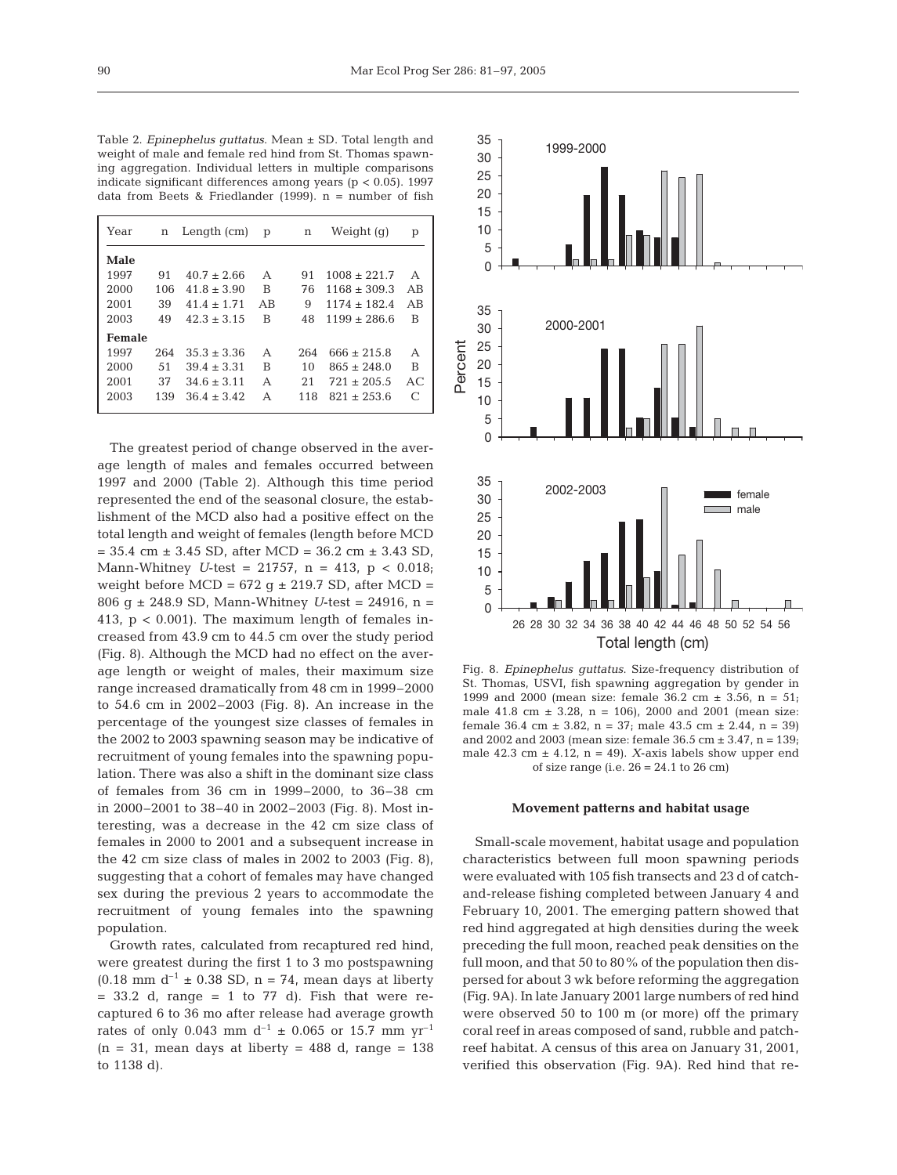Table 2. *Epinephelus guttatus*. Mean ± SD. Total length and weight of male and female red hind from St. Thomas spawning aggregation. Individual letters in multiple comparisons indicate significant differences among years ( $p < 0.05$ ). 1997 data from Beets & Friedlander (1999). n = number of fish

| Year   | Length $(cm)$<br>n |                 | p<br>n |     | Weight (g)       | р         |
|--------|--------------------|-----------------|--------|-----|------------------|-----------|
| Male   |                    |                 |        |     |                  |           |
| 1997   | 91                 | $40.7 \pm 2.66$ | А      | 91  | $1008 \pm 221.7$ | A         |
| 2000   | 106                | $41.8 + 3.90$   | B      | 76  | $1168 \pm 309.3$ | AR        |
| 2001   | 39                 | $41.4 + 1.71$   | AR     | 9   | $1174 + 182.4$   | AR        |
| 2003   | 49                 | $42.3 \pm 3.15$ | B      | 48  | $1199 \pm 286.6$ | B         |
| Female |                    |                 |        |     |                  |           |
| 1997   | 264                | $35.3 + 3.36$   | А      | 264 | $666 + 215.8$    | А         |
| 2000   | .51                | $39.4 + 3.31$   | В      | 10  | $865 + 248.0$    | B         |
| 2001   | 37                 | $34.6 + 3.11$   | А      | 21  | $721 + 205.5$    | AC        |
| 2003   | 139                | $36.4 + 3.42$   | А      | 118 | $821 \pm 253.6$  | $\subset$ |
|        |                    |                 |        |     |                  |           |

The greatest period of change observed in the average length of males and females occurred between 1997 and 2000 (Table 2). Although this time period represented the end of the seasonal closure, the establishment of the MCD also had a positive effect on the total length and weight of females (length before MCD  $= 35.4$  cm  $\pm 3.45$  SD, after MCD  $= 36.2$  cm  $\pm 3.43$  SD, Mann-Whitney *U*-test = 21757, n = 413, p < 0.018; weight before MCD =  $672$  g  $\pm$  219.7 SD, after MCD = 806 g ± 248.9 SD, Mann-Whitney *U*-test = 24916, n = 413,  $p < 0.001$ ). The maximum length of females increased from 43.9 cm to 44.5 cm over the study period (Fig. 8). Although the MCD had no effect on the average length or weight of males, their maximum size range increased dramatically from 48 cm in 1999–2000 to 54.6 cm in 2002–2003 (Fig. 8). An increase in the percentage of the youngest size classes of females in the 2002 to 2003 spawning season may be indicative of recruitment of young females into the spawning population. There was also a shift in the dominant size class of females from 36 cm in 1999–2000, to 36–38 cm in 2000–2001 to 38–40 in 2002–2003 (Fig. 8). Most interesting, was a decrease in the 42 cm size class of females in 2000 to 2001 and a subsequent increase in the 42 cm size class of males in 2002 to 2003 (Fig. 8), suggesting that a cohort of females may have changed sex during the previous 2 years to accommodate the recruitment of young females into the spawning population.

Growth rates, calculated from recaptured red hind, were greatest during the first 1 to 3 mo postspawning  $(0.18 \text{ mm d}^{-1} \pm 0.38 \text{ SD}, n = 74, \text{ mean days at liberty})$  $= 33.2$  d, range  $= 1$  to 77 d). Fish that were recaptured 6 to 36 mo after release had average growth rates of only 0.043 mm  $d^{-1} \pm 0.065$  or 15.7 mm yr<sup>-1</sup>  $(n = 31,$  mean days at liberty = 488 d, range = 138 to 1138 d).



Fig. 8. *Epinephelus guttatus*. Size-frequency distribution of St. Thomas, USVI, fish spawning aggregation by gender in 1999 and 2000 (mean size: female  $36.2 \text{ cm } \pm 3.56$ , n =  $51$ ; male  $41.8 \text{ cm } \pm 3.28$ , n = 106), 2000 and 2001 (mean size: female 36.4 cm  $\pm$  3.82, n = 37; male 43.5 cm  $\pm$  2.44, n = 39) and 2002 and 2003 (mean size: female  $36.5$  cm  $\pm 3.47$ , n =  $139$ ; male 42.3 cm  $\pm$  4.12, n = 49). *X*-axis labels show upper end of size range (i.e. 26 = 24.1 to 26 cm)

#### **Movement patterns and habitat usage**

Small-scale movement, habitat usage and population characteristics between full moon spawning periods were evaluated with 105 fish transects and 23 d of catchand-release fishing completed between January 4 and February 10, 2001. The emerging pattern showed that red hind aggregated at high densities during the week preceding the full moon, reached peak densities on the full moon, and that 50 to 80% of the population then dispersed for about 3 wk before reforming the aggregation (Fig. 9A). In late January 2001 large numbers of red hind were observed 50 to 100 m (or more) off the primary coral reef in areas composed of sand, rubble and patchreef habitat. A census of this area on January 31, 2001, verified this observation (Fig. 9A). Red hind that re-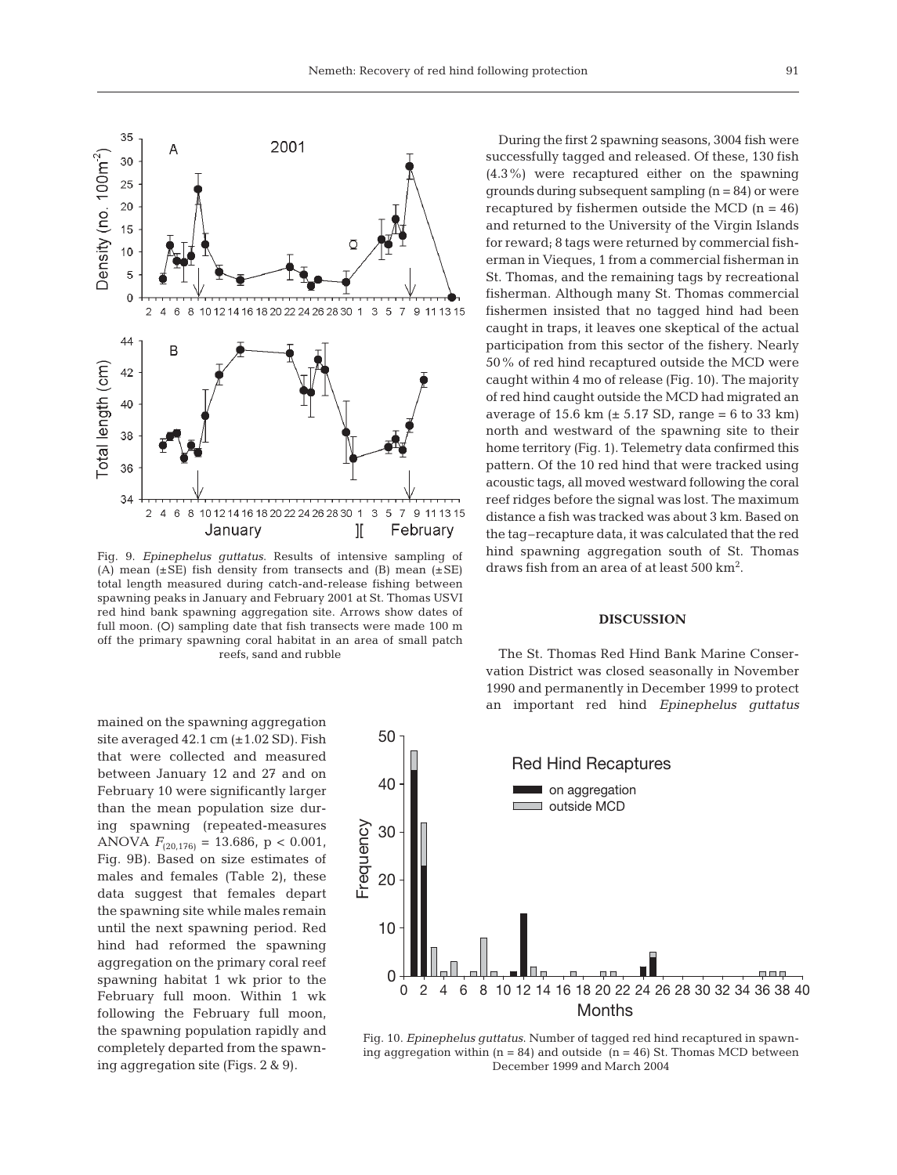

Fig. 9. *Epinephelus guttatus*. Results of intensive sampling of (A) mean  $(\pm SE)$  fish density from transects and (B) mean  $(\pm SE)$ total length measured during catch-and-release fishing between spawning peaks in January and February 2001 at St. Thomas USVI red hind bank spawning aggregation site. Arrows show dates of full moon. (O) sampling date that fish transects were made 100 m off the primary spawning coral habitat in an area of small patch reefs, sand and rubble

mained on the spawning aggregation site averaged  $42.1 \text{ cm } (\pm 1.02 \text{ SD})$ . Fish that were collected and measured between January 12 and 27 and on February 10 were significantly larger than the mean population size during spawning (repeated-measures ANOVA  $F_{(20,176)} = 13.686$ , p < 0.001, Fig. 9B). Based on size estimates of males and females (Table 2), these data suggest that females depart the spawning site while males remain until the next spawning period. Red hind had reformed the spawning aggregation on the primary coral reef spawning habitat 1 wk prior to the February full moon. Within 1 wk following the February full moon, the spawning population rapidly and completely departed from the spawning aggregation site (Figs. 2 & 9).

During the first 2 spawning seasons, 3004 fish were successfully tagged and released. Of these, 130 fish (4.3%) were recaptured either on the spawning grounds during subsequent sampling  $(n = 84)$  or were recaptured by fishermen outside the MCD  $(n = 46)$ and returned to the University of the Virgin Islands for reward; 8 tags were returned by commercial fisherman in Vieques, 1 from a commercial fisherman in St. Thomas, and the remaining tags by recreational fisherman. Although many St. Thomas commercial fishermen insisted that no tagged hind had been caught in traps, it leaves one skeptical of the actual participation from this sector of the fishery. Nearly 50% of red hind recaptured outside the MCD were caught within 4 mo of release (Fig. 10). The majority of red hind caught outside the MCD had migrated an average of 15.6 km  $(\pm 5.17 \text{ SD}, \text{range} = 6 \text{ to } 33 \text{ km})$ north and westward of the spawning site to their home territory (Fig. 1). Telemetry data confirmed this pattern. Of the 10 red hind that were tracked using acoustic tags, all moved westward following the coral reef ridges before the signal was lost. The maximum distance a fish was tracked was about 3 km. Based on the tag–recapture data, it was calculated that the red hind spawning aggregation south of St. Thomas draws fish from an area of at least 500 km2 .

#### **DISCUSSION**

The St. Thomas Red Hind Bank Marine Conservation District was closed seasonally in November 1990 and permanently in December 1999 to protect an important red hind *Epinephelus guttatus*



Fig. 10. *Epinephelus guttatus*. Number of tagged red hind recaptured in spawning aggregation within ( $n = 84$ ) and outside ( $n = 46$ ) St. Thomas MCD between December 1999 and March 2004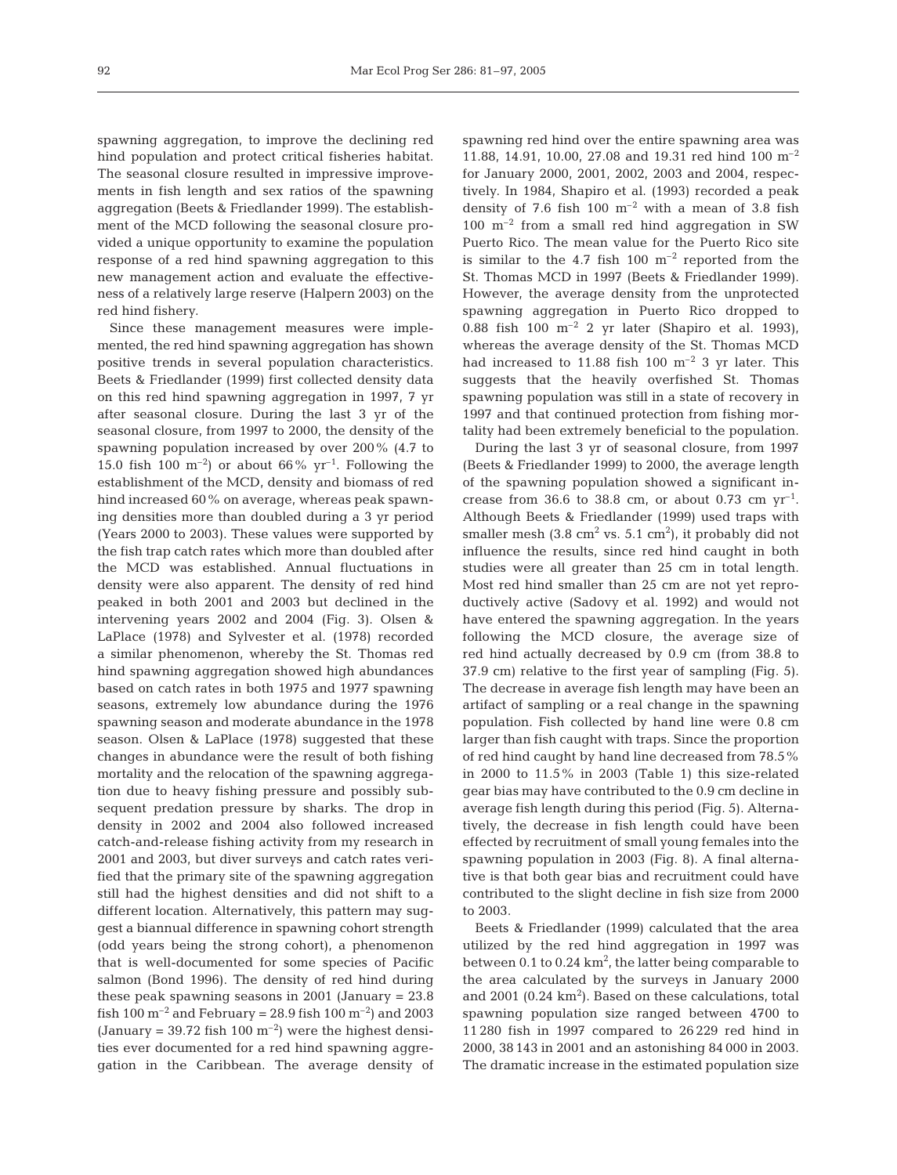spawning aggregation, to improve the declining red hind population and protect critical fisheries habitat. The seasonal closure resulted in impressive improvements in fish length and sex ratios of the spawning aggregation (Beets & Friedlander 1999). The establishment of the MCD following the seasonal closure provided a unique opportunity to examine the population response of a red hind spawning aggregation to this new management action and evaluate the effectiveness of a relatively large reserve (Halpern 2003) on the red hind fishery.

Since these management measures were implemented, the red hind spawning aggregation has shown positive trends in several population characteristics. Beets & Friedlander (1999) first collected density data on this red hind spawning aggregation in 1997, 7 yr after seasonal closure. During the last 3 yr of the seasonal closure, from 1997 to 2000, the density of the spawning population increased by over 200% (4.7 to 15.0 fish 100  $\text{m}^{-2}$ ) or about 66% yr<sup>-1</sup>. Following the establishment of the MCD, density and biomass of red hind increased 60% on average, whereas peak spawning densities more than doubled during a 3 yr period (Years 2000 to 2003). These values were supported by the fish trap catch rates which more than doubled after the MCD was established. Annual fluctuations in density were also apparent. The density of red hind peaked in both 2001 and 2003 but declined in the intervening years 2002 and 2004 (Fig. 3). Olsen & LaPlace (1978) and Sylvester et al. (1978) recorded a similar phenomenon, whereby the St. Thomas red hind spawning aggregation showed high abundances based on catch rates in both 1975 and 1977 spawning seasons, extremely low abundance during the 1976 spawning season and moderate abundance in the 1978 season. Olsen & LaPlace (1978) suggested that these changes in abundance were the result of both fishing mortality and the relocation of the spawning aggregation due to heavy fishing pressure and possibly subsequent predation pressure by sharks. The drop in density in 2002 and 2004 also followed increased catch-and-release fishing activity from my research in 2001 and 2003, but diver surveys and catch rates verified that the primary site of the spawning aggregation still had the highest densities and did not shift to a different location. Alternatively, this pattern may suggest a biannual difference in spawning cohort strength (odd years being the strong cohort), a phenomenon that is well-documented for some species of Pacific salmon (Bond 1996). The density of red hind during these peak spawning seasons in 2001 (January = 23.8 fish 100  $\text{m}^{-2}$  and February = 28.9 fish 100  $\text{m}^{-2}$ ) and 2003 (January = 39.72 fish 100  $\mathrm{m}^{-2}$ ) were the highest densities ever documented for a red hind spawning aggregation in the Caribbean. The average density of spawning red hind over the entire spawning area was 11.88, 14.91, 10.00, 27.08 and 19.31 red hind 100 m–2 for January 2000, 2001, 2002, 2003 and 2004, respectively. In 1984, Shapiro et al. (1993) recorded a peak density of 7.6 fish  $100 \text{ m}^{-2}$  with a mean of 3.8 fish  $100 \text{ m}^{-2}$  from a small red hind aggregation in SW Puerto Rico. The mean value for the Puerto Rico site is similar to the 4.7 fish 100  $m^{-2}$  reported from the St. Thomas MCD in 1997 (Beets & Friedlander 1999). However, the average density from the unprotected spawning aggregation in Puerto Rico dropped to 0.88 fish 100  $m^{-2}$  2 yr later (Shapiro et al. 1993), whereas the average density of the St. Thomas MCD had increased to 11.88 fish 100  $\mathrm{m}^{-2}$  3 yr later. This suggests that the heavily overfished St. Thomas spawning population was still in a state of recovery in 1997 and that continued protection from fishing mortality had been extremely beneficial to the population.

During the last 3 yr of seasonal closure, from 1997 (Beets & Friedlander 1999) to 2000, the average length of the spawning population showed a significant increase from 36.6 to 38.8 cm, or about 0.73 cm  $yr^{-1}$ . Although Beets & Friedlander (1999) used traps with smaller mesh  $(3.8 \text{ cm}^2 \text{ vs. } 5.1 \text{ cm}^2)$ , it probably did not influence the results, since red hind caught in both studies were all greater than 25 cm in total length. Most red hind smaller than 25 cm are not yet reproductively active (Sadovy et al. 1992) and would not have entered the spawning aggregation. In the years following the MCD closure, the average size of red hind actually decreased by 0.9 cm (from 38.8 to 37.9 cm) relative to the first year of sampling (Fig. 5). The decrease in average fish length may have been an artifact of sampling or a real change in the spawning population. Fish collected by hand line were 0.8 cm larger than fish caught with traps. Since the proportion of red hind caught by hand line decreased from 78.5% in 2000 to 11.5% in 2003 (Table 1) this size-related gear bias may have contributed to the 0.9 cm decline in average fish length during this period (Fig. 5). Alternatively, the decrease in fish length could have been effected by recruitment of small young females into the spawning population in 2003 (Fig. 8). A final alternative is that both gear bias and recruitment could have contributed to the slight decline in fish size from 2000 to 2003.

Beets & Friedlander (1999) calculated that the area utilized by the red hind aggregation in 1997 was between  $0.1$  to  $0.24 \text{ km}^2$ , the latter being comparable to the area calculated by the surveys in January 2000 and  $2001$  (0.24  $\text{km}^2$ ). Based on these calculations, total spawning population size ranged between 4700 to 11 280 fish in 1997 compared to 26 229 red hind in 2000, 38 143 in 2001 and an astonishing 84 000 in 2003. The dramatic increase in the estimated population size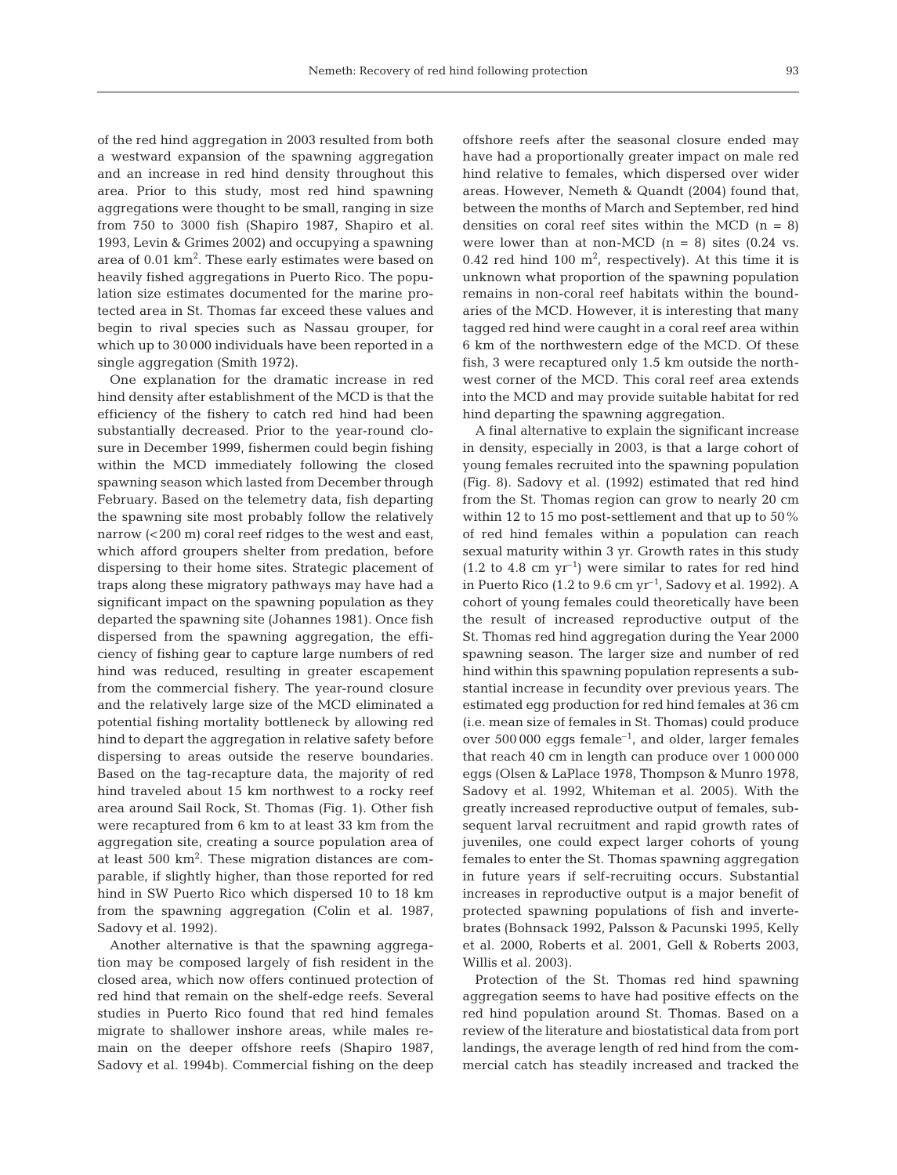of the red hind aggregation in 2003 resulted from both a westward expansion of the spawning aggregation and an increase in red hind density throughout this area. Prior to this study, most red hind spawning aggregations were thought to be small, ranging in size from 750 to 3000 fish (Shapiro 1987, Shapiro et al. 1993, Levin & Grimes 2002) and occupying a spawning area of 0.01 km<sup>2</sup>. These early estimates were based on heavily fished aggregations in Puerto Rico. The population size estimates documented for the marine protected area in St. Thomas far exceed these values and begin to rival species such as Nassau grouper, for which up to 30 000 individuals have been reported in a single aggregation (Smith 1972).

One explanation for the dramatic increase in red hind density after establishment of the MCD is that the efficiency of the fishery to catch red hind had been substantially decreased. Prior to the year-round closure in December 1999, fishermen could begin fishing within the MCD immediately following the closed spawning season which lasted from December through February. Based on the telemetry data, fish departing the spawning site most probably follow the relatively narrow (<200 m) coral reef ridges to the west and east, which afford groupers shelter from predation, before dispersing to their home sites. Strategic placement of traps along these migratory pathways may have had a significant impact on the spawning population as they departed the spawning site (Johannes 1981). Once fish dispersed from the spawning aggregation, the efficiency of fishing gear to capture large numbers of red hind was reduced, resulting in greater escapement from the commercial fishery. The year-round closure and the relatively large size of the MCD eliminated a potential fishing mortality bottleneck by allowing red hind to depart the aggregation in relative safety before dispersing to areas outside the reserve boundaries. Based on the tag-recapture data, the majority of red hind traveled about 15 km northwest to a rocky reef area around Sail Rock, St. Thomas (Fig. 1). Other fish were recaptured from 6 km to at least 33 km from the aggregation site, creating a source population area of at least 500 km<sup>2</sup>. These migration distances are comparable, if slightly higher, than those reported for red hind in SW Puerto Rico which dispersed 10 to 18 km from the spawning aggregation (Colin et al. 1987, Sadovy et al. 1992).

Another alternative is that the spawning aggregation may be composed largely of fish resident in the closed area, which now offers continued protection of red hind that remain on the shelf-edge reefs. Several studies in Puerto Rico found that red hind females migrate to shallower inshore areas, while males remain on the deeper offshore reefs (Shapiro 1987, Sadovy et al. 1994b). Commercial fishing on the deep

offshore reefs after the seasonal closure ended may have had a proportionally greater impact on male red hind relative to females, which dispersed over wider areas. However, Nemeth & Quandt (2004) found that, between the months of March and September, red hind densities on coral reef sites within the MCD  $(n = 8)$ were lower than at non-MCD  $(n = 8)$  sites  $(0.24$  vs. 0.42 red hind 100  $m^2$ , respectively). At this time it is unknown what proportion of the spawning population remains in non-coral reef habitats within the boundaries of the MCD. However, it is interesting that many tagged red hind were caught in a coral reef area within 6 km of the northwestern edge of the MCD. Of these fish, 3 were recaptured only 1.5 km outside the northwest corner of the MCD. This coral reef area extends into the MCD and may provide suitable habitat for red hind departing the spawning aggregation.

A final alternative to explain the significant increase in density, especially in 2003, is that a large cohort of young females recruited into the spawning population (Fig. 8). Sadovy et al. (1992) estimated that red hind from the St. Thomas region can grow to nearly 20 cm within 12 to 15 mo post-settlement and that up to 50% of red hind females within a population can reach sexual maturity within 3 yr. Growth rates in this study  $(1.2 \text{ to } 4.8 \text{ cm yr}^{-1})$  were similar to rates for red hind in Puerto Rico (1.2 to  $9.6 \text{ cm yr}^{-1}$ , Sadovy et al. 1992). A cohort of young females could theoretically have been the result of increased reproductive output of the St. Thomas red hind aggregation during the Year 2000 spawning season. The larger size and number of red hind within this spawning population represents a substantial increase in fecundity over previous years. The estimated egg production for red hind females at 36 cm (i.e. mean size of females in St. Thomas) could produce over 500 000 eggs female<sup>-1</sup>, and older, larger females that reach 40 cm in length can produce over 1 000 000 eggs (Olsen & LaPlace 1978, Thompson & Munro 1978, Sadovy et al. 1992, Whiteman et al. 2005). With the greatly increased reproductive output of females, subsequent larval recruitment and rapid growth rates of juveniles, one could expect larger cohorts of young females to enter the St. Thomas spawning aggregation in future years if self-recruiting occurs. Substantial increases in reproductive output is a major benefit of protected spawning populations of fish and invertebrates (Bohnsack 1992, Palsson & Pacunski 1995, Kelly et al. 2000, Roberts et al. 2001, Gell & Roberts 2003, Willis et al. 2003).

Protection of the St. Thomas red hind spawning aggregation seems to have had positive effects on the red hind population around St. Thomas. Based on a review of the literature and biostatistical data from port landings, the average length of red hind from the commercial catch has steadily increased and tracked the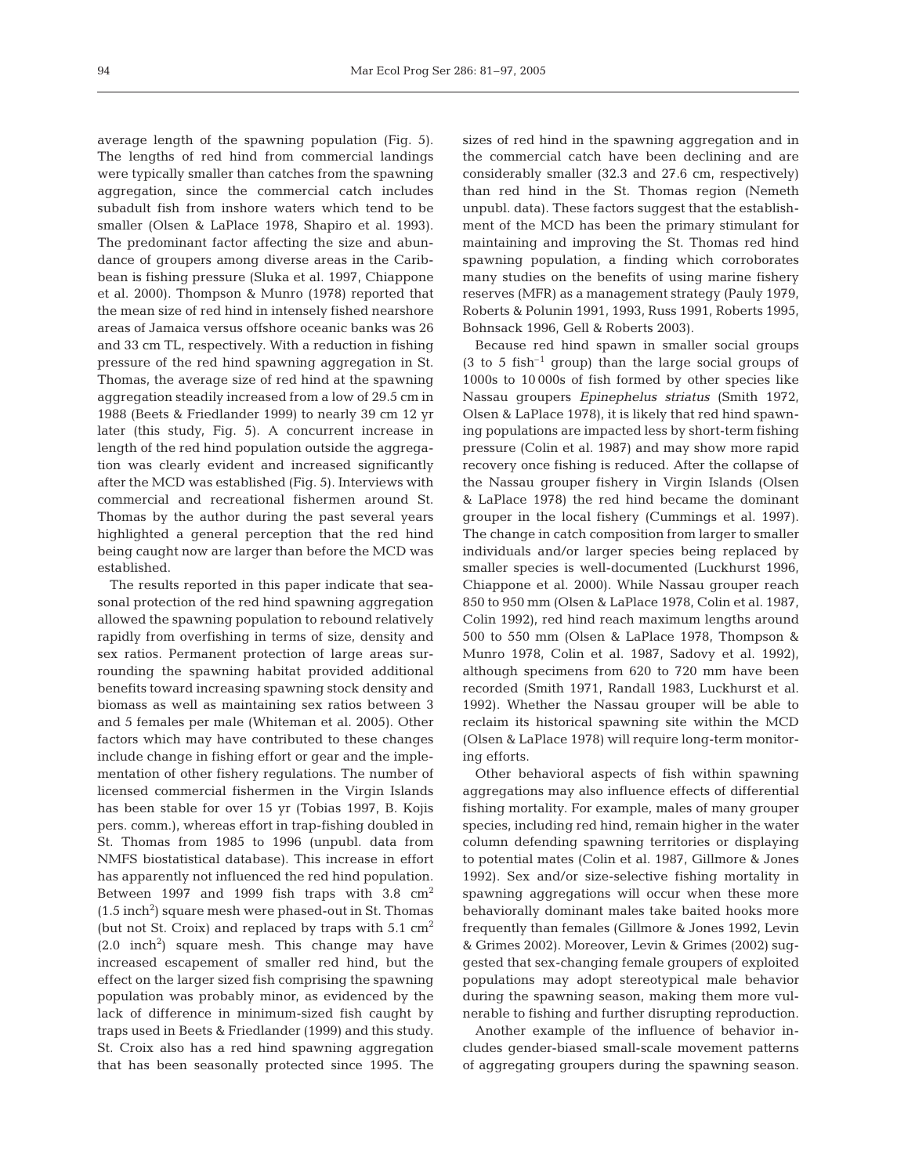average length of the spawning population (Fig. 5). The lengths of red hind from commercial landings were typically smaller than catches from the spawning aggregation, since the commercial catch includes subadult fish from inshore waters which tend to be smaller (Olsen & LaPlace 1978, Shapiro et al. 1993). The predominant factor affecting the size and abundance of groupers among diverse areas in the Caribbean is fishing pressure (Sluka et al. 1997, Chiappone et al. 2000). Thompson & Munro (1978) reported that the mean size of red hind in intensely fished nearshore areas of Jamaica versus offshore oceanic banks was 26 and 33 cm TL, respectively. With a reduction in fishing pressure of the red hind spawning aggregation in St. Thomas, the average size of red hind at the spawning aggregation steadily increased from a low of 29.5 cm in 1988 (Beets & Friedlander 1999) to nearly 39 cm 12 yr later (this study, Fig. 5). A concurrent increase in length of the red hind population outside the aggregation was clearly evident and increased significantly after the MCD was established (Fig. 5). Interviews with commercial and recreational fishermen around St. Thomas by the author during the past several years highlighted a general perception that the red hind being caught now are larger than before the MCD was established.

The results reported in this paper indicate that seasonal protection of the red hind spawning aggregation allowed the spawning population to rebound relatively rapidly from overfishing in terms of size, density and sex ratios. Permanent protection of large areas surrounding the spawning habitat provided additional benefits toward increasing spawning stock density and biomass as well as maintaining sex ratios between 3 and 5 females per male (Whiteman et al. 2005). Other factors which may have contributed to these changes include change in fishing effort or gear and the implementation of other fishery regulations. The number of licensed commercial fishermen in the Virgin Islands has been stable for over 15 yr (Tobias 1997, B. Kojis pers. comm.), whereas effort in trap-fishing doubled in St. Thomas from 1985 to 1996 (unpubl. data from NMFS biostatistical database). This increase in effort has apparently not influenced the red hind population. Between 1997 and 1999 fish traps with 3.8  $\text{cm}^2$  $(1.5 \text{ inch}^2)$  square mesh were phased-out in St. Thomas (but not St. Croix) and replaced by traps with  $5.1 \text{ cm}^2$  $(2.0 \text{ inch}^2)$  square mesh. This change may have increased escapement of smaller red hind, but the effect on the larger sized fish comprising the spawning population was probably minor, as evidenced by the lack of difference in minimum-sized fish caught by traps used in Beets & Friedlander (1999) and this study. St. Croix also has a red hind spawning aggregation that has been seasonally protected since 1995. The sizes of red hind in the spawning aggregation and in the commercial catch have been declining and are considerably smaller (32.3 and 27.6 cm, respectively) than red hind in the St. Thomas region (Nemeth unpubl. data). These factors suggest that the establishment of the MCD has been the primary stimulant for maintaining and improving the St. Thomas red hind spawning population, a finding which corroborates many studies on the benefits of using marine fishery reserves (MFR) as a management strategy (Pauly 1979, Roberts & Polunin 1991, 1993, Russ 1991, Roberts 1995, Bohnsack 1996, Gell & Roberts 2003).

Because red hind spawn in smaller social groups  $(3$  to 5 fish<sup>-1</sup> group) than the large social groups of 1000s to 10 000s of fish formed by other species like Nassau groupers *Epinephelus striatus* (Smith 1972, Olsen & LaPlace 1978), it is likely that red hind spawning populations are impacted less by short-term fishing pressure (Colin et al. 1987) and may show more rapid recovery once fishing is reduced. After the collapse of the Nassau grouper fishery in Virgin Islands (Olsen & LaPlace 1978) the red hind became the dominant grouper in the local fishery (Cummings et al. 1997). The change in catch composition from larger to smaller individuals and/or larger species being replaced by smaller species is well-documented (Luckhurst 1996, Chiappone et al. 2000). While Nassau grouper reach 850 to 950 mm (Olsen & LaPlace 1978, Colin et al. 1987, Colin 1992), red hind reach maximum lengths around 500 to 550 mm (Olsen & LaPlace 1978, Thompson & Munro 1978, Colin et al. 1987, Sadovy et al. 1992), although specimens from 620 to 720 mm have been recorded (Smith 1971, Randall 1983, Luckhurst et al. 1992). Whether the Nassau grouper will be able to reclaim its historical spawning site within the MCD (Olsen & LaPlace 1978) will require long-term monitoring efforts.

Other behavioral aspects of fish within spawning aggregations may also influence effects of differential fishing mortality. For example, males of many grouper species, including red hind, remain higher in the water column defending spawning territories or displaying to potential mates (Colin et al. 1987, Gillmore & Jones 1992). Sex and/or size-selective fishing mortality in spawning aggregations will occur when these more behaviorally dominant males take baited hooks more frequently than females (Gillmore & Jones 1992, Levin & Grimes 2002). Moreover, Levin & Grimes (2002) suggested that sex-changing female groupers of exploited populations may adopt stereotypical male behavior during the spawning season, making them more vulnerable to fishing and further disrupting reproduction.

Another example of the influence of behavior includes gender-biased small-scale movement patterns of aggregating groupers during the spawning season.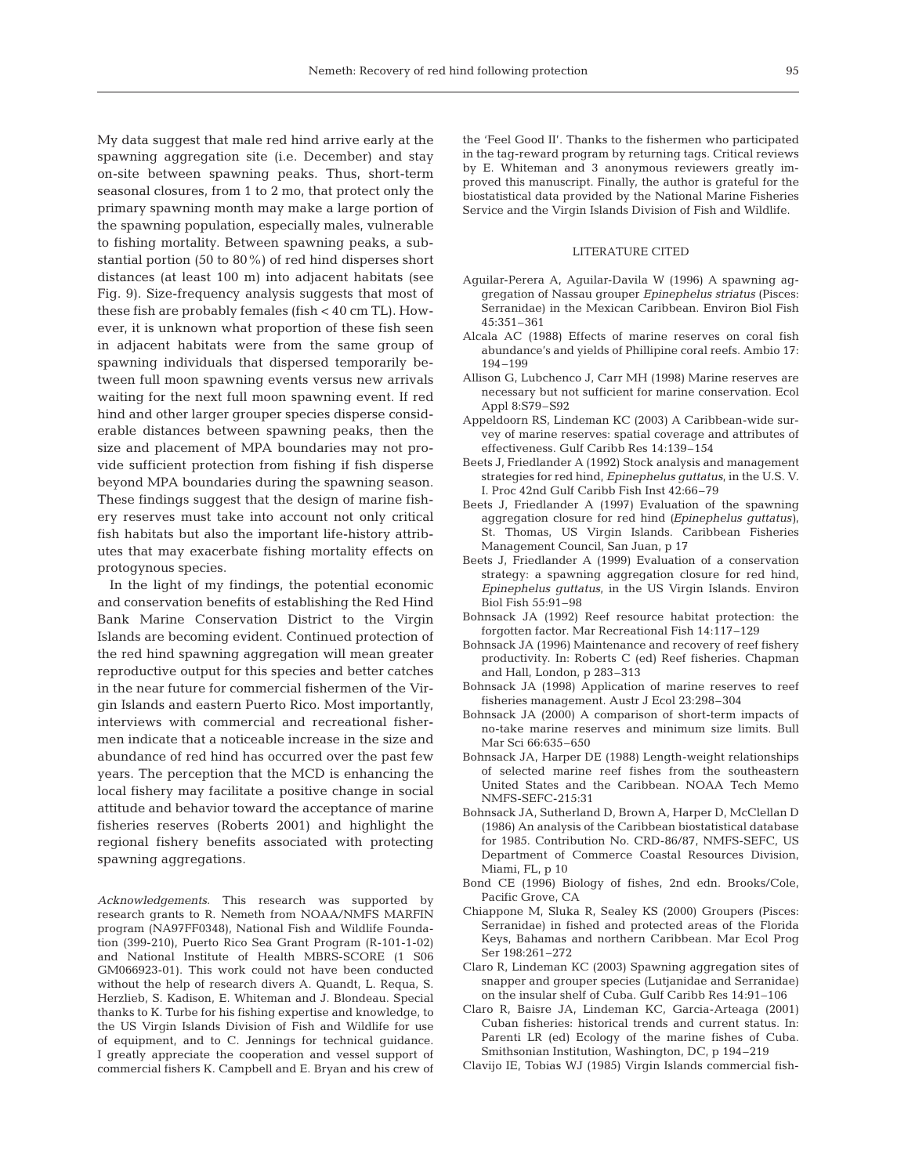My data suggest that male red hind arrive early at the spawning aggregation site (i.e. December) and stay on-site between spawning peaks. Thus, short-term seasonal closures, from 1 to 2 mo, that protect only the primary spawning month may make a large portion of the spawning population, especially males, vulnerable to fishing mortality. Between spawning peaks, a substantial portion (50 to 80%) of red hind disperses short distances (at least 100 m) into adjacent habitats (see Fig. 9). Size-frequency analysis suggests that most of these fish are probably females (fish < 40 cm TL). However, it is unknown what proportion of these fish seen in adjacent habitats were from the same group of spawning individuals that dispersed temporarily between full moon spawning events versus new arrivals waiting for the next full moon spawning event. If red hind and other larger grouper species disperse considerable distances between spawning peaks, then the size and placement of MPA boundaries may not provide sufficient protection from fishing if fish disperse beyond MPA boundaries during the spawning season. These findings suggest that the design of marine fishery reserves must take into account not only critical fish habitats but also the important life-history attributes that may exacerbate fishing mortality effects on protogynous species.

In the light of my findings, the potential economic and conservation benefits of establishing the Red Hind Bank Marine Conservation District to the Virgin Islands are becoming evident. Continued protection of the red hind spawning aggregation will mean greater reproductive output for this species and better catches in the near future for commercial fishermen of the Virgin Islands and eastern Puerto Rico. Most importantly, interviews with commercial and recreational fishermen indicate that a noticeable increase in the size and abundance of red hind has occurred over the past few years. The perception that the MCD is enhancing the local fishery may facilitate a positive change in social attitude and behavior toward the acceptance of marine fisheries reserves (Roberts 2001) and highlight the regional fishery benefits associated with protecting spawning aggregations.

*Acknowledgements.* This research was supported by research grants to R. Nemeth from NOAA/NMFS MARFIN program (NA97FF0348), National Fish and Wildlife Foundation (399-210), Puerto Rico Sea Grant Program (R-101-1-02) and National Institute of Health MBRS-SCORE (1 S06 GM066923-01). This work could not have been conducted without the help of research divers A. Quandt, L. Requa, S. Herzlieb, S. Kadison, E. Whiteman and J. Blondeau. Special thanks to K. Turbe for his fishing expertise and knowledge, to the US Virgin Islands Division of Fish and Wildlife for use of equipment, and to C. Jennings for technical guidance. I greatly appreciate the cooperation and vessel support of commercial fishers K. Campbell and E. Bryan and his crew of the 'Feel Good II'. Thanks to the fishermen who participated in the tag-reward program by returning tags. Critical reviews by E. Whiteman and 3 anonymous reviewers greatly improved this manuscript. Finally, the author is grateful for the biostatistical data provided by the National Marine Fisheries Service and the Virgin Islands Division of Fish and Wildlife.

#### LITERATURE CITED

- Aguilar-Perera A, Aguilar-Davila W (1996) A spawning aggregation of Nassau grouper *Epinephelus striatus* (Pisces: Serranidae) in the Mexican Caribbean. Environ Biol Fish 45:351–361
- Alcala AC (1988) Effects of marine reserves on coral fish abundance's and yields of Phillipine coral reefs. Ambio 17: 194–199
- Allison G, Lubchenco J, Carr MH (1998) Marine reserves are necessary but not sufficient for marine conservation. Ecol Appl 8:S79–S92
- Appeldoorn RS, Lindeman KC (2003) A Caribbean-wide survey of marine reserves: spatial coverage and attributes of effectiveness. Gulf Caribb Res 14:139–154
- Beets J, Friedlander A (1992) Stock analysis and management strategies for red hind, *Epinephelus guttatus*, in the U.S. V. I. Proc 42nd Gulf Caribb Fish Inst 42:66–79
- Beets J, Friedlander A (1997) Evaluation of the spawning aggregation closure for red hind *(Epinephelus guttatus)*, St. Thomas, US Virgin Islands. Caribbean Fisheries Management Council, San Juan, p 17
- Beets J, Friedlander A (1999) Evaluation of a conservation strategy: a spawning aggregation closure for red hind, *Epinephelus guttatus*, in the US Virgin Islands. Environ Biol Fish 55:91–98
- Bohnsack JA (1992) Reef resource habitat protection: the forgotten factor. Mar Recreational Fish 14:117–129
- Bohnsack JA (1996) Maintenance and recovery of reef fishery productivity. In: Roberts C (ed) Reef fisheries. Chapman and Hall, London, p 283–313
- Bohnsack JA (1998) Application of marine reserves to reef fisheries management. Austr J Ecol 23:298–304
- Bohnsack JA (2000) A comparison of short-term impacts of no-take marine reserves and minimum size limits. Bull Mar Sci 66:635–650
- Bohnsack JA, Harper DE (1988) Length-weight relationships of selected marine reef fishes from the southeastern United States and the Caribbean. NOAA Tech Memo NMFS-SEFC-215:31
- Bohnsack JA, Sutherland D, Brown A, Harper D, McClellan D (1986) An analysis of the Caribbean biostatistical database for 1985. Contribution No. CRD-86/87, NMFS-SEFC, US Department of Commerce Coastal Resources Division, Miami, FL, p 10
- Bond CE (1996) Biology of fishes, 2nd edn. Brooks/Cole, Pacific Grove, CA
- Chiappone M, Sluka R, Sealey KS (2000) Groupers (Pisces: Serranidae) in fished and protected areas of the Florida Keys, Bahamas and northern Caribbean. Mar Ecol Prog Ser 198:261–272
- Claro R, Lindeman KC (2003) Spawning aggregation sites of snapper and grouper species (Lutjanidae and Serranidae) on the insular shelf of Cuba. Gulf Caribb Res 14:91–106
- Claro R, Baisre JA, Lindeman KC, Garcia-Arteaga (2001) Cuban fisheries: historical trends and current status. In: Parenti LR (ed) Ecology of the marine fishes of Cuba. Smithsonian Institution, Washington, DC, p 194–219
- Clavijo IE, Tobias WJ (1985) Virgin Islands commercial fish-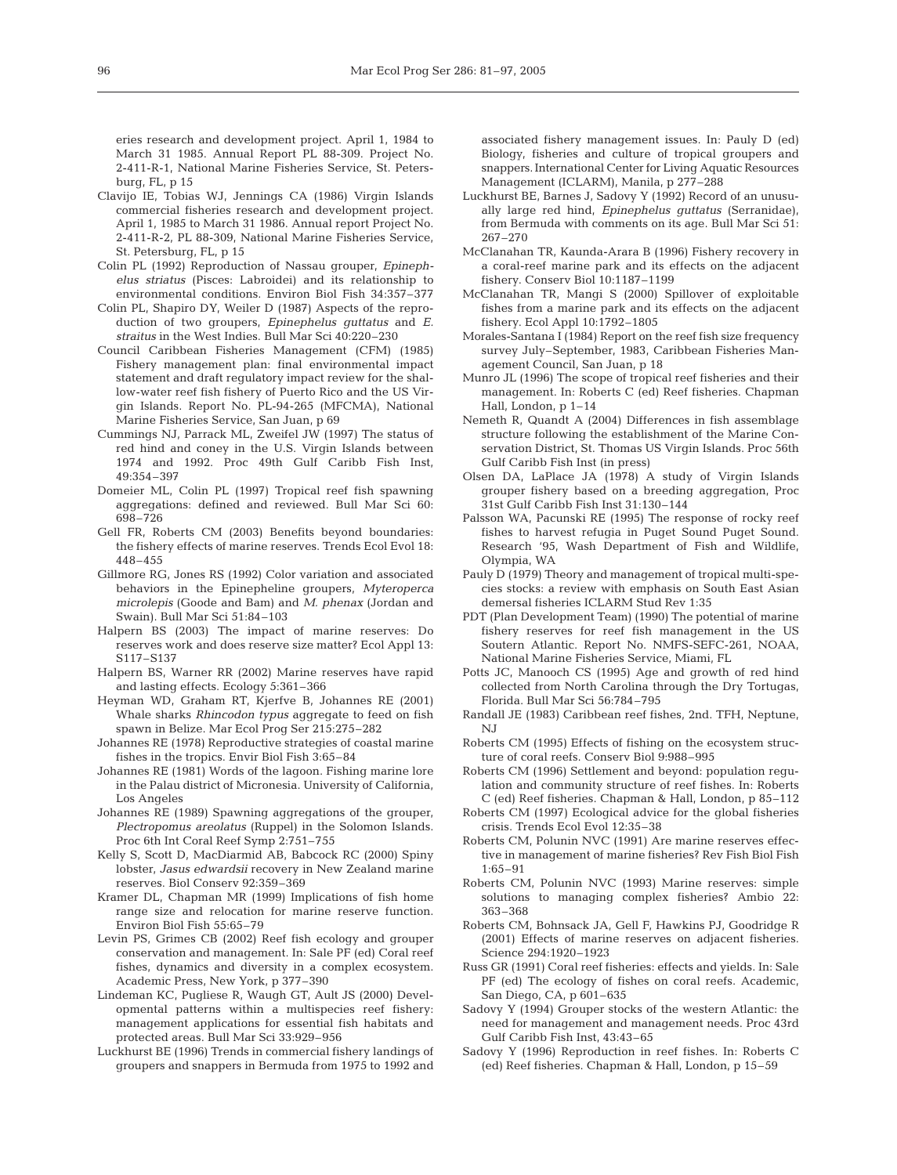eries research and development project. April 1, 1984 to March 31 1985. Annual Report PL 88-309. Project No. 2-411-R-1, National Marine Fisheries Service, St. Petersburg, FL, p 15

- Clavijo IE, Tobias WJ, Jennings CA (1986) Virgin Islands commercial fisheries research and development project. April 1, 1985 to March 31 1986. Annual report Project No. 2-411-R-2, PL 88-309, National Marine Fisheries Service, St. Petersburg, FL, p 15
- Colin PL (1992) Reproduction of Nassau grouper, *Epinephelus striatus* (Pisces: Labroidei) and its relationship to environmental conditions. Environ Biol Fish 34:357–377
- Colin PL, Shapiro DY, Weiler D (1987) Aspects of the reproduction of two groupers, *Epinephelus guttatus* and *E. straitus* in the West Indies. Bull Mar Sci 40:220–230
- Council Caribbean Fisheries Management (CFM) (1985) Fishery management plan: final environmental impact statement and draft regulatory impact review for the shallow-water reef fish fishery of Puerto Rico and the US Virgin Islands. Report No. PL-94-265 (MFCMA), National Marine Fisheries Service, San Juan, p 69
- Cummings NJ, Parrack ML, Zweifel JW (1997) The status of red hind and coney in the U.S. Virgin Islands between 1974 and 1992. Proc 49th Gulf Caribb Fish Inst, 49:354–397
- Domeier ML, Colin PL (1997) Tropical reef fish spawning aggregations: defined and reviewed. Bull Mar Sci 60: 698–726
- Gell FR, Roberts CM (2003) Benefits beyond boundaries: the fishery effects of marine reserves. Trends Ecol Evol 18: 448–455
- Gillmore RG, Jones RS (1992) Color variation and associated behaviors in the Epinepheline groupers, *Myteroperca microlepis* (Goode and Bam) and *M. phenax* (Jordan and Swain). Bull Mar Sci 51:84–103
- Halpern BS (2003) The impact of marine reserves: Do reserves work and does reserve size matter? Ecol Appl 13: S117–S137
- Halpern BS, Warner RR (2002) Marine reserves have rapid and lasting effects. Ecology 5:361–366
- Heyman WD, Graham RT, Kjerfve B, Johannes RE (2001) Whale sharks *Rhincodon typus* aggregate to feed on fish spawn in Belize. Mar Ecol Prog Ser 215:275–282
- Johannes RE (1978) Reproductive strategies of coastal marine fishes in the tropics. Envir Biol Fish 3:65–84
- Johannes RE (1981) Words of the lagoon. Fishing marine lore in the Palau district of Micronesia. University of California, Los Angeles
- Johannes RE (1989) Spawning aggregations of the grouper, *Plectropomus areolatus* (Ruppel) in the Solomon Islands. Proc 6th Int Coral Reef Symp 2:751–755
- Kelly S, Scott D, MacDiarmid AB, Babcock RC (2000) Spiny lobster, *Jasus edwardsii* recovery in New Zealand marine reserves. Biol Conserv 92:359–369
- Kramer DL, Chapman MR (1999) Implications of fish home range size and relocation for marine reserve function. Environ Biol Fish 55:65–79
- Levin PS, Grimes CB (2002) Reef fish ecology and grouper conservation and management. In: Sale PF (ed) Coral reef fishes, dynamics and diversity in a complex ecosystem. Academic Press, New York, p 377–390
- Lindeman KC, Pugliese R, Waugh GT, Ault JS (2000) Developmental patterns within a multispecies reef fishery: management applications for essential fish habitats and protected areas. Bull Mar Sci 33:929–956
- Luckhurst BE (1996) Trends in commercial fishery landings of groupers and snappers in Bermuda from 1975 to 1992 and

associated fishery management issues. In: Pauly D (ed) Biology, fisheries and culture of tropical groupers and snappers. International Center for Living Aquatic Resources Management (ICLARM), Manila, p 277–288

- Luckhurst BE, Barnes J, Sadovy Y (1992) Record of an unusually large red hind, *Epinephelus guttatus* (Serranidae), from Bermuda with comments on its age. Bull Mar Sci 51: 267–270
- McClanahan TR, Kaunda-Arara B (1996) Fishery recovery in a coral-reef marine park and its effects on the adjacent fishery. Conserv Biol 10:1187–1199
- McClanahan TR, Mangi S (2000) Spillover of exploitable fishes from a marine park and its effects on the adjacent fishery. Ecol Appl 10:1792–1805
- Morales-Santana I (1984) Report on the reef fish size frequency survey July–September, 1983, Caribbean Fisheries Management Council, San Juan, p 18
- Munro JL (1996) The scope of tropical reef fisheries and their management. In: Roberts C (ed) Reef fisheries. Chapman Hall, London, p 1–14
- Nemeth R, Quandt A (2004) Differences in fish assemblage structure following the establishment of the Marine Conservation District, St. Thomas US Virgin Islands. Proc 56th Gulf Caribb Fish Inst (in press)
- Olsen DA, LaPlace JA (1978) A study of Virgin Islands grouper fishery based on a breeding aggregation, Proc 31st Gulf Caribb Fish Inst 31:130–144
- Palsson WA, Pacunski RE (1995) The response of rocky reef fishes to harvest refugia in Puget Sound Puget Sound. Research '95, Wash Department of Fish and Wildlife, Olympia, WA
- Pauly D (1979) Theory and management of tropical multi-species stocks: a review with emphasis on South East Asian demersal fisheries ICLARM Stud Rev 1:35
- PDT (Plan Development Team) (1990) The potential of marine fishery reserves for reef fish management in the US Soutern Atlantic. Report No. NMFS-SEFC-261, NOAA, National Marine Fisheries Service, Miami, FL
- Potts JC, Manooch CS (1995) Age and growth of red hind collected from North Carolina through the Dry Tortugas, Florida. Bull Mar Sci 56:784–795
- Randall JE (1983) Caribbean reef fishes, 2nd. TFH, Neptune, NJ
- Roberts CM (1995) Effects of fishing on the ecosystem structure of coral reefs. Conserv Biol 9:988–995
- Roberts CM (1996) Settlement and beyond: population regulation and community structure of reef fishes. In: Roberts C (ed) Reef fisheries. Chapman & Hall, London, p 85–112
- Roberts CM (1997) Ecological advice for the global fisheries crisis. Trends Ecol Evol 12:35–38
- Roberts CM, Polunin NVC (1991) Are marine reserves effective in management of marine fisheries? Rev Fish Biol Fish 1:65–91
- Roberts CM, Polunin NVC (1993) Marine reserves: simple solutions to managing complex fisheries? Ambio 22: 363–368
- Roberts CM, Bohnsack JA, Gell F, Hawkins PJ, Goodridge R (2001) Effects of marine reserves on adjacent fisheries. Science 294:1920–1923
- Russ GR (1991) Coral reef fisheries: effects and yields. In: Sale PF (ed) The ecology of fishes on coral reefs. Academic, San Diego, CA, p 601–635
- Sadovy Y (1994) Grouper stocks of the western Atlantic: the need for management and management needs. Proc 43rd Gulf Caribb Fish Inst, 43:43–65
- Sadovy Y (1996) Reproduction in reef fishes. In: Roberts C (ed) Reef fisheries. Chapman & Hall, London, p 15–59